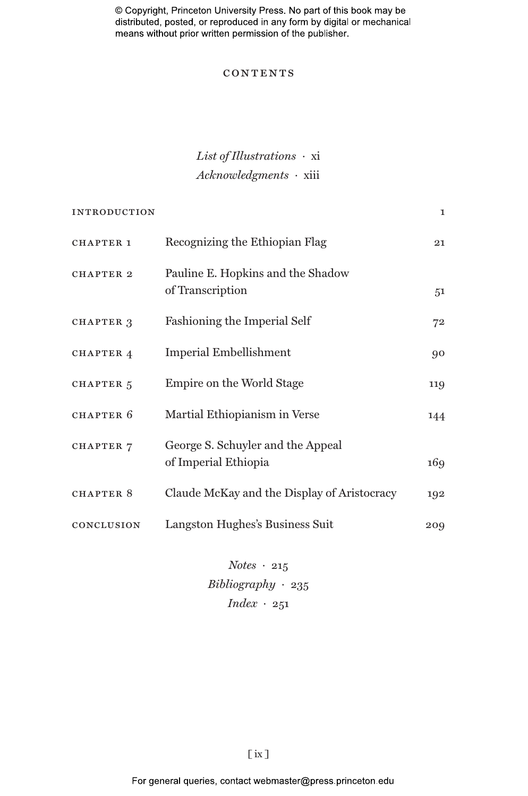© Copyright, Princeton University Press. No part of this book may be distributed, posted, or reproduced in any form by digital or mechanical means without prior written permission of the publisher.

# **CONTENTS**

# *List of Illustrations ·* xi *Acknowledgments ·* xiii

| <b>INTRODUCTION</b>  |                                                           | $\mathbf{I}$ |
|----------------------|-----------------------------------------------------------|--------------|
| <b>CHAPTER 1</b>     | Recognizing the Ethiopian Flag                            | 21           |
| <b>CHAPTER 2</b>     | Pauline E. Hopkins and the Shadow<br>of Transcription     | 51           |
| CHAPTER 3            | Fashioning the Imperial Self                              | 72           |
| <b>CHAPTER 4</b>     | <b>Imperial Embellishment</b>                             | 90           |
| CHAPTER <sub>5</sub> | Empire on the World Stage                                 | 119          |
| CHAPTER 6            | Martial Ethiopianism in Verse                             | 144          |
| <b>CHAPTER 7</b>     | George S. Schuyler and the Appeal<br>of Imperial Ethiopia | 169          |
| <b>CHAPTER 8</b>     | Claude McKay and the Display of Aristocracy               | 192          |
| CONCLUSION           | Langston Hughes's Business Suit                           | 209          |

*Notes ·* 215 *Bibliography ·* 235 *Index ·* 251

[ ix ]

For general queries, contact webmaster@press.princeton.edu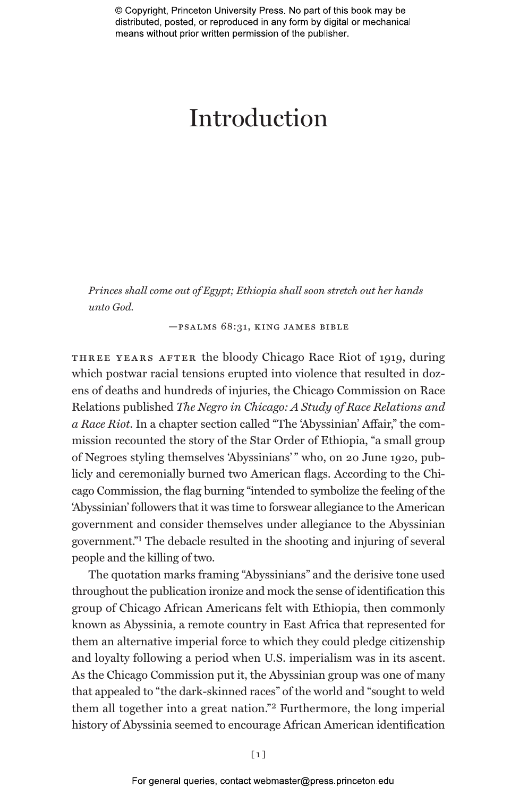© Copyright, Princeton University Press. No part of this book may be distributed, posted, or reproduced in any form by digital or mechanical means without prior written permission of the publisher.

# Introduction

*Princes shall come out of Egypt; Ethiopia shall soon stretch out her hands unto God.*

—psalms 68:31, king james bible

THREE YEARS AFTER the bloody Chicago Race Riot of 1919, during which postwar racial tensions erupted into violence that resulted in dozens of deaths and hundreds of injuries, the Chicago Commission on Race Relations published *The Negro in Chicago: A Study of Race Relations and a Race Riot*. In a chapter section called "The 'Abyssinian' Affair," the commission recounted the story of the Star Order of Ethiopia, "a small group of Negroes styling themselves 'Abyssinians' " who, on 20 June 1920, publicly and ceremonially burned two American flags. According to the Chicago Commission, the flag burning "intended to symbolize the feeling of the 'Abyssinian' followers that it was time to forswear allegiance to the American government and consider themselves under allegiance to the Abyssinian government."1 The debacle resulted in the shooting and injuring of several people and the killing of two.

The quotation marks framing "Abyssinians" and the derisive tone used throughout the publication ironize and mock the sense of identification this group of Chicago African Americans felt with Ethiopia, then commonly known as Abyssinia, a remote country in East Africa that represented for them an alternative imperial force to which they could pledge citizenship and loyalty following a period when U.S. imperialism was in its ascent. As the Chicago Commission put it, the Abyssinian group was one of many that appealed to "the dark-skinned races" of the world and "sought to weld them all together into a great nation."2 Furthermore, the long imperial history of Abyssinia seemed to encourage African American identification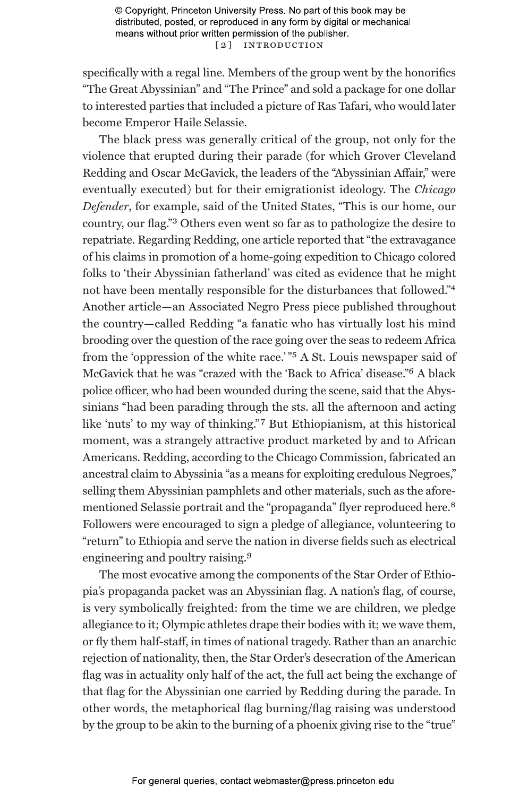© Copyright, Princeton University Press. No part of this book may be distributed, posted, or reproduced in any form by digital or mechanical means without prior written permission of the publisher. [ 2 ] Introduction

specifically with a regal line. Members of the group went by the honorifics "The Great Abyssinian" and "The Prince" and sold a package for one dollar to interested parties that included a picture of Ras Tafari, who would later become Emperor Haile Selassie.

The black press was generally critical of the group, not only for the violence that erupted during their parade (for which Grover Cleveland Redding and Oscar McGavick, the leaders of the "Abyssinian Affair," were eventually executed) but for their emigrationist ideology. The *Chicago Defender*, for example, said of the United States, "This is our home, our country, our flag."3 Others even went so far as to pathologize the desire to repatriate. Regarding Redding, one article reported that "the extravagance of his claims in promotion of a home-going expedition to Chicago colored folks to 'their Abyssinian fatherland' was cited as evidence that he might not have been mentally responsible for the disturbances that followed."4 Another article—an Associated Negro Press piece published throughout the country—called Redding "a fanatic who has virtually lost his mind brooding over the question of the race going over the seas to redeem Africa from the 'oppression of the white race.' "5 A St. Louis newspaper said of McGavick that he was "crazed with the 'Back to Africa' disease."6 A black police officer, who had been wounded during the scene, said that the Abyssinians "had been parading through the sts. all the afternoon and acting like 'nuts' to my way of thinking." 7 But Ethiopianism, at this historical moment, was a strangely attractive product marketed by and to African Americans. Redding, according to the Chicago Commission, fabricated an ancestral claim to Abyssinia "as a means for exploiting credulous Negroes," selling them Abyssinian pamphlets and other materials, such as the aforementioned Selassie portrait and the "propaganda" flyer reproduced here.8 Followers were encouraged to sign a pledge of allegiance, volunteering to "return" to Ethiopia and serve the nation in diverse fields such as electrical engineering and poultry raising.9

The most evocative among the components of the Star Order of Ethiopia's propaganda packet was an Abyssinian flag. A nation's flag, of course, is very symbolically freighted: from the time we are children, we pledge allegiance to it; Olympic athletes drape their bodies with it; we wave them, or fly them half-staff, in times of national tragedy. Rather than an anarchic rejection of nationality, then, the Star Order's desecration of the American flag was in actuality only half of the act, the full act being the exchange of that flag for the Abyssinian one carried by Redding during the parade. In other words, the metaphorical flag burning/flag raising was understood by the group to be akin to the burning of a phoenix giving rise to the "true"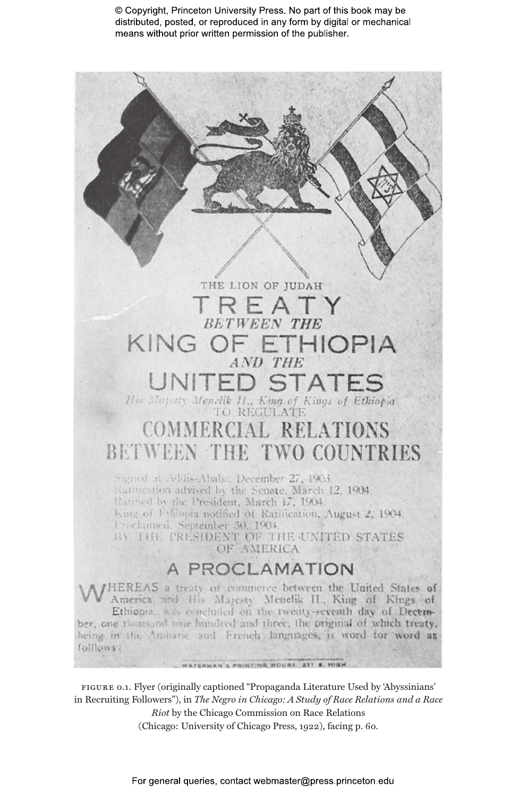© Copyright, Princeton University Press. No part of this book may be distributed, posted, or reproduced in any form by digital or mechanical means without prior written permission of the publisher.



figure 0.1. Flyer (originally captioned "Propaganda Literature Used by 'Abyssinians' in Recruiting Followers"), in *The Negro in Chicago: A Study of Race Relations and a Race* 

*Riot* by the Chicago Commission on Race Relations (Chicago: University of Chicago Press, 1922), facing p. 60.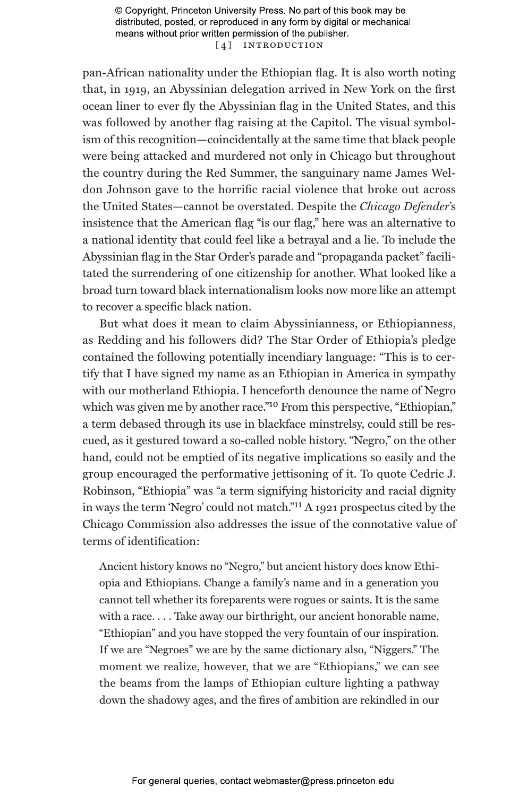© Copyright, Princeton University Press. No part of this book may be distributed, posted, or reproduced in any form by digital or mechanical means without prior written permission of the publisher. [4] INTRODUCTION

pan-African nationality under the Ethiopian flag. It is also worth noting that, in 1919, an Abyssinian delegation arrived in New York on the first ocean liner to ever fly the Abyssinian flag in the United States, and this was followed by another flag raising at the Capitol. The visual symbolism of this recognition—coincidentally at the same time that black people were being attacked and murdered not only in Chicago but throughout the country during the Red Summer, the sanguinary name James Weldon Johnson gave to the horrific racial violence that broke out across the United States—cannot be overstated. Despite the *Chicago Defender*'s insistence that the American flag "is our flag," here was an alternative to a national identity that could feel like a betrayal and a lie. To include the Abyssinian flag in the Star Order's parade and "propaganda packet" facilitated the surrendering of one citizenship for another. What looked like a broad turn toward black internationalism looks now more like an attempt to recover a specific black nation.

But what does it mean to claim Abyssinianness, or Ethiopianness, as Redding and his followers did? The Star Order of Ethiopia's pledge contained the following potentially incendiary language: "This is to certify that I have signed my name as an Ethiopian in America in sympathy with our motherland Ethiopia. I henceforth denounce the name of Negro which was given me by another race."<sup>10</sup> From this perspective, "Ethiopian," a term debased through its use in blackface minstrelsy, could still be rescued, as it gestured toward a so-called noble history. "Negro," on the other hand, could not be emptied of its negative implications so easily and the group encouraged the performative jettisoning of it. To quote Cedric J. Robinson, "Ethiopia" was "a term signifying historicity and racial dignity in ways the term 'Negro' could not match."11 A 1921 prospectus cited by the Chicago Commission also addresses the issue of the connotative value of terms of identification:

Ancient history knows no "Negro," but ancient history does know Ethiopia and Ethiopians. Change a family's name and in a generation you cannot tell whether its foreparents were rogues or saints. It is the same with a race. . . . Take away our birthright, our ancient honorable name, "Ethiopian" and you have stopped the very fountain of our inspiration. If we are "Negroes" we are by the same dictionary also, "Niggers." The moment we realize, however, that we are "Ethiopians," we can see the beams from the lamps of Ethiopian culture lighting a pathway down the shadowy ages, and the fires of ambition are rekindled in our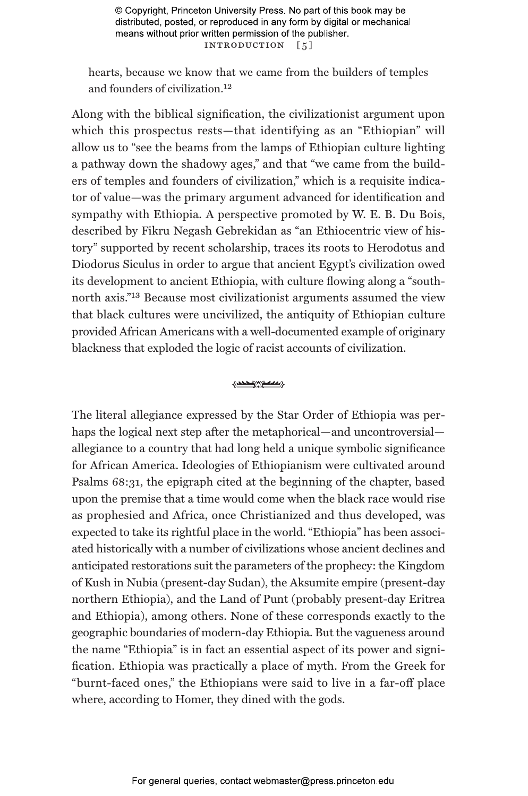© Copyright, Princeton University Press. No part of this book may be distributed, posted, or reproduced in any form by digital or mechanical means without prior written permission of the publisher. INTRODUCTION [5]

hearts, because we know that we came from the builders of temples and founders of civilization.12

Along with the biblical signification, the civilizationist argument upon which this prospectus rests—that identifying as an "Ethiopian" will allow us to "see the beams from the lamps of Ethiopian culture lighting a pathway down the shadowy ages," and that "we came from the builders of temples and founders of civilization," which is a requisite indicator of value—was the primary argument advanced for identification and sympathy with Ethiopia. A perspective promoted by W. E. B. Du Bois, described by Fikru Negash Gebrekidan as "an Ethiocentric view of history" supported by recent scholarship, traces its roots to Herodotus and Diodorus Siculus in order to argue that ancient Egypt's civilization owed its development to ancient Ethiopia, with culture flowing along a "southnorth axis."13 Because most civilizationist arguments assumed the view that black cultures were uncivilized, the antiquity of Ethiopian culture provided African Americans with a well-documented example of originary blackness that exploded the logic of racist accounts of civilization.

#### **STATE International State**

The literal allegiance expressed by the Star Order of Ethiopia was perhaps the logical next step after the metaphorical—and uncontroversial allegiance to a country that had long held a unique symbolic significance for African America. Ideologies of Ethiopianism were cultivated around Psalms 68:31, the epigraph cited at the beginning of the chapter, based upon the premise that a time would come when the black race would rise as prophesied and Africa, once Christianized and thus developed, was expected to take its rightful place in the world. "Ethiopia" has been associated historically with a number of civilizations whose ancient declines and anticipated restorations suit the parameters of the prophecy: the Kingdom of Kush in Nubia (present-day Sudan), the Aksumite empire (present-day northern Ethiopia), and the Land of Punt (probably present-day Eritrea and Ethiopia), among others. None of these corresponds exactly to the geographic boundaries of modern-day Ethiopia. But the vagueness around the name "Ethiopia" is in fact an essential aspect of its power and signification. Ethiopia was practically a place of myth. From the Greek for "burnt-faced ones," the Ethiopians were said to live in a far-off place where, according to Homer, they dined with the gods.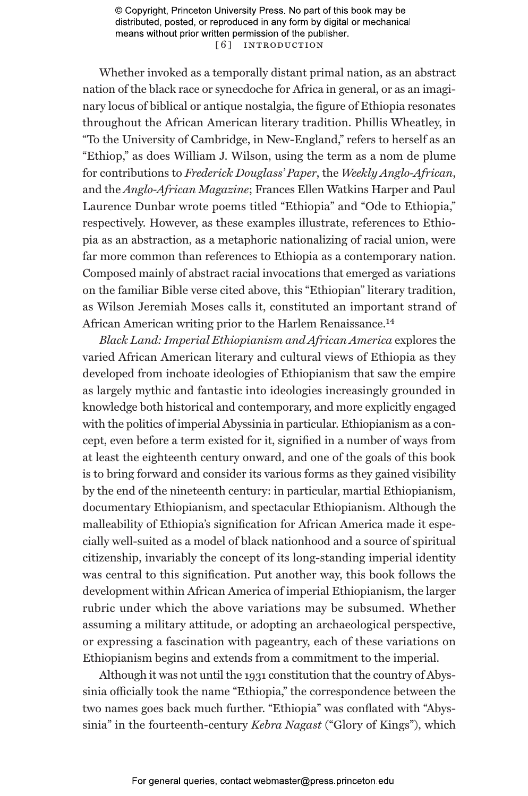© Copyright, Princeton University Press. No part of this book may be distributed, posted, or reproduced in any form by digital or mechanical means without prior written permission of the publisher. [6] INTRODUCTION

Whether invoked as a temporally distant primal nation, as an abstract nation of the black race or synecdoche for Africa in general, or as an imaginary locus of biblical or antique nostalgia, the figure of Ethiopia resonates throughout the African American literary tradition. Phillis Wheatley, in "To the University of Cambridge, in New-England," refers to herself as an "Ethiop," as does William J. Wilson, using the term as a nom de plume for contributions to *Frederick Douglass' Paper*, the *Weekly Anglo-African*, and the *Anglo-African Magazine*; Frances Ellen Watkins Harper and Paul Laurence Dunbar wrote poems titled "Ethiopia" and "Ode to Ethiopia," respectively. However, as these examples illustrate, references to Ethiopia as an abstraction, as a metaphoric nationalizing of racial union, were far more common than references to Ethiopia as a contemporary nation. Composed mainly of abstract racial invocations that emerged as variations on the familiar Bible verse cited above, this "Ethiopian" literary tradition, as Wilson Jeremiah Moses calls it, constituted an important strand of African American writing prior to the Harlem Renaissance.14

*Black Land: Imperial Ethiopianism and African America* explores the varied African American literary and cultural views of Ethiopia as they developed from inchoate ideologies of Ethiopianism that saw the empire as largely mythic and fantastic into ideologies increasingly grounded in knowledge both historical and contemporary, and more explicitly engaged with the politics of imperial Abyssinia in particular. Ethiopianism as a concept, even before a term existed for it, signified in a number of ways from at least the eighteenth century onward, and one of the goals of this book is to bring forward and consider its various forms as they gained visibility by the end of the nineteenth century: in particular, martial Ethiopianism, documentary Ethiopianism, and spectacular Ethiopianism. Although the malleability of Ethiopia's signification for African America made it especially well-suited as a model of black nationhood and a source of spiritual citizenship, invariably the concept of its long-standing imperial identity was central to this signification. Put another way, this book follows the development within African America of imperial Ethiopianism, the larger rubric under which the above variations may be subsumed. Whether assuming a military attitude, or adopting an archaeological perspective, or expressing a fascination with pageantry, each of these variations on Ethiopianism begins and extends from a commitment to the imperial.

Although it was not until the 1931 constitution that the country of Abyssinia officially took the name "Ethiopia," the correspondence between the two names goes back much further. "Ethiopia" was conflated with "Abyssinia" in the fourteenth-century *Kebra Nagast* ("Glory of Kings"), which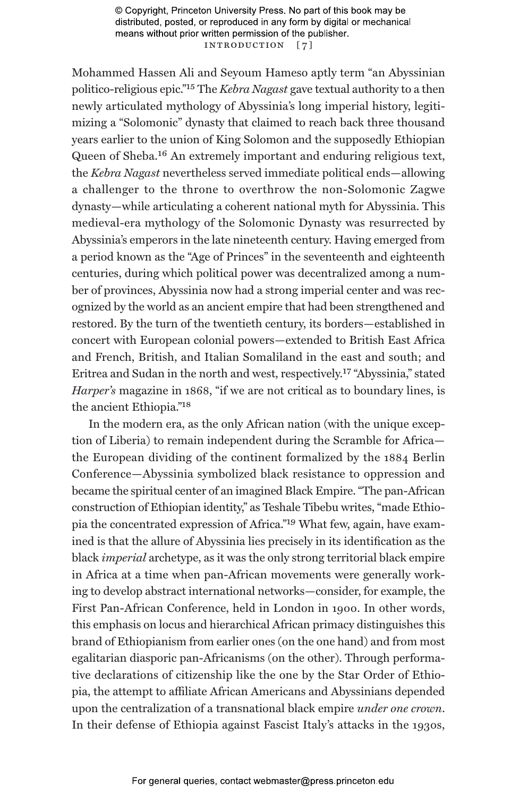© Copyright, Princeton University Press. No part of this book may be distributed, posted, or reproduced in any form by digital or mechanical means without prior written permission of the publisher. INTRODUCTION [7]

Mohammed Hassen Ali and Seyoum Hameso aptly term "an Abyssinian politico-religious epic."15 The *Kebra Nagast* gave textual authority to a then newly articulated mythology of Abyssinia's long imperial history, legitimizing a "Solomonic" dynasty that claimed to reach back three thousand years earlier to the union of King Solomon and the supposedly Ethiopian Queen of Sheba.16 An extremely important and enduring religious text, the *Kebra Nagast* nevertheless served immediate political ends—allowing a challenger to the throne to overthrow the non-Solomonic Zagwe dynasty—while articulating a coherent national myth for Abyssinia. This medieval-era mythology of the Solomonic Dynasty was resurrected by Abyssinia's emperors in the late nineteenth century. Having emerged from a period known as the "Age of Princes" in the seventeenth and eighteenth centuries, during which political power was decentralized among a number of provinces, Abyssinia now had a strong imperial center and was recognized by the world as an ancient empire that had been strengthened and restored. By the turn of the twentieth century, its borders—established in concert with European colonial powers—extended to British East Africa and French, British, and Italian Somaliland in the east and south; and Eritrea and Sudan in the north and west, respectively.17 "Abyssinia," stated *Harper's* magazine in 1868, "if we are not critical as to boundary lines, is the ancient Ethiopia."18

In the modern era, as the only African nation (with the unique exception of Liberia) to remain independent during the Scramble for Africa the European dividing of the continent formalized by the 1884 Berlin Conference—Abyssinia symbolized black resistance to oppression and became the spiritual center of an imagined Black Empire. "The pan-African construction of Ethiopian identity," as Teshale Tibebu writes, "made Ethiopia the concentrated expression of Africa."19 What few, again, have examined is that the allure of Abyssinia lies precisely in its identification as the black *imperial* archetype, as it was the only strong territorial black empire in Africa at a time when pan-African movements were generally working to develop abstract international networks—consider, for example, the First Pan-African Conference, held in London in 1900. In other words, this emphasis on locus and hierarchical African primacy distinguishes this brand of Ethiopianism from earlier ones (on the one hand) and from most egalitarian diasporic pan-Africanisms (on the other). Through performative declarations of citizenship like the one by the Star Order of Ethiopia, the attempt to affiliate African Americans and Abyssinians depended upon the centralization of a transnational black empire *under one crown*. In their defense of Ethiopia against Fascist Italy's attacks in the 1930s,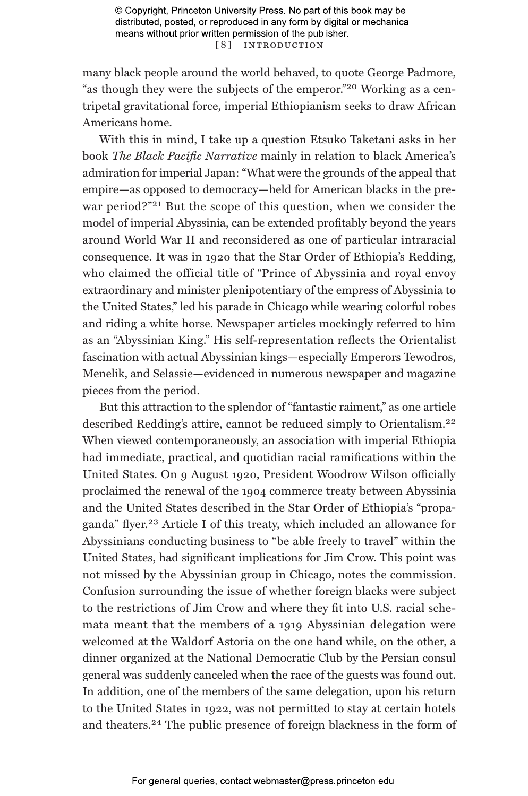© Copyright, Princeton University Press. No part of this book may be distributed, posted, or reproduced in any form by digital or mechanical means without prior written permission of the publisher. [ 8 ] Introduction

many black people around the world behaved, to quote George Padmore, "as though they were the subjects of the emperor."20 Working as a centripetal gravitational force, imperial Ethiopianism seeks to draw African Americans home.

With this in mind, I take up a question Etsuko Taketani asks in her book *The Black Pacific Narrative* mainly in relation to black America's admiration for imperial Japan: "What were the grounds of the appeal that empire—as opposed to democracy—held for American blacks in the prewar period?"<sup>21</sup> But the scope of this question, when we consider the model of imperial Abyssinia, can be extended profitably beyond the years around World War II and reconsidered as one of particular intraracial consequence. It was in 1920 that the Star Order of Ethiopia's Redding, who claimed the official title of "Prince of Abyssinia and royal envoy extraordinary and minister plenipotentiary of the empress of Abyssinia to the United States," led his parade in Chicago while wearing colorful robes and riding a white horse. Newspaper articles mockingly referred to him as an "Abyssinian King." His self-representation reflects the Orientalist fascination with actual Abyssinian kings—especially Emperors Tewodros, Menelik, and Selassie—evidenced in numerous newspaper and magazine pieces from the period.

But this attraction to the splendor of "fantastic raiment," as one article described Redding's attire, cannot be reduced simply to Orientalism.22 When viewed contemporaneously, an association with imperial Ethiopia had immediate, practical, and quotidian racial ramifications within the United States. On 9 August 1920, President Woodrow Wilson officially proclaimed the renewal of the 1904 commerce treaty between Abyssinia and the United States described in the Star Order of Ethiopia's "propaganda" flyer.23 Article I of this treaty, which included an allowance for Abyssinians conducting business to "be able freely to travel" within the United States, had significant implications for Jim Crow. This point was not missed by the Abyssinian group in Chicago, notes the commission. Confusion surrounding the issue of whether foreign blacks were subject to the restrictions of Jim Crow and where they fit into U.S. racial schemata meant that the members of a 1919 Abyssinian delegation were welcomed at the Waldorf Astoria on the one hand while, on the other, a dinner organized at the National Democratic Club by the Persian consul general was suddenly canceled when the race of the guests was found out. In addition, one of the members of the same delegation, upon his return to the United States in 1922, was not permitted to stay at certain hotels and theaters.24 The public presence of foreign blackness in the form of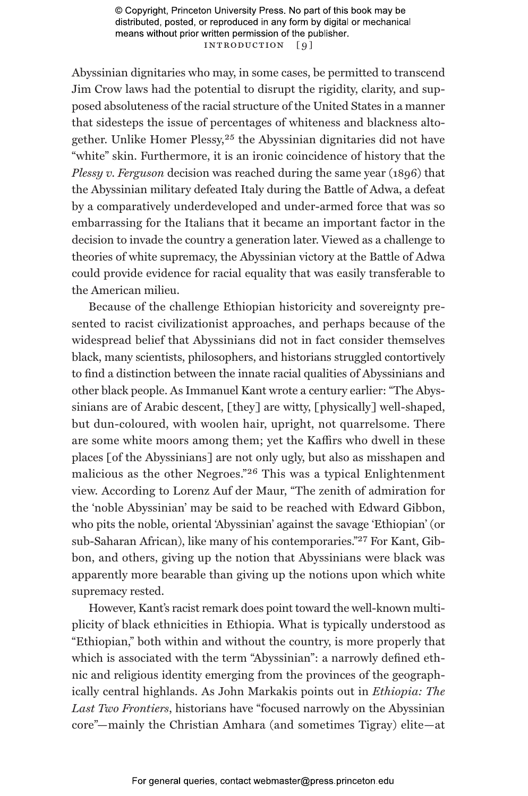© Copyright, Princeton University Press. No part of this book may be distributed, posted, or reproduced in any form by digital or mechanical means without prior written permission of the publisher. INTRODUCTION [9]

Abyssinian dignitaries who may, in some cases, be permitted to transcend Jim Crow laws had the potential to disrupt the rigidity, clarity, and supposed absoluteness of the racial structure of the United States in a manner that sidesteps the issue of percentages of whiteness and blackness altogether. Unlike Homer Plessy,25 the Abyssinian dignitaries did not have "white" skin. Furthermore, it is an ironic coincidence of history that the *Plessy v. Ferguson* decision was reached during the same year (1896) that the Abyssinian military defeated Italy during the Battle of Adwa, a defeat by a comparatively underdeveloped and under-armed force that was so embarrassing for the Italians that it became an important factor in the decision to invade the country a generation later. Viewed as a challenge to theories of white supremacy, the Abyssinian victory at the Battle of Adwa could provide evidence for racial equality that was easily transferable to the American milieu.

Because of the challenge Ethiopian historicity and sovereignty presented to racist civilizationist approaches, and perhaps because of the widespread belief that Abyssinians did not in fact consider themselves black, many scientists, philosophers, and historians struggled contortively to find a distinction between the innate racial qualities of Abyssinians and other black people. As Immanuel Kant wrote a century earlier: "The Abyssinians are of Arabic descent, [they] are witty, [physically] well-shaped, but dun-coloured, with woolen hair, upright, not quarrelsome. There are some white moors among them; yet the Kaffirs who dwell in these places [of the Abyssinians] are not only ugly, but also as misshapen and malicious as the other Negroes."26 This was a typical Enlightenment view. According to Lorenz Auf der Maur, "The zenith of admiration for the 'noble Abyssinian' may be said to be reached with Edward Gibbon, who pits the noble, oriental 'Abyssinian' against the savage 'Ethiopian' (or sub-Saharan African), like many of his contemporaries."27 For Kant, Gibbon, and others, giving up the notion that Abyssinians were black was apparently more bearable than giving up the notions upon which white supremacy rested.

However, Kant's racist remark does point toward the well-known multiplicity of black ethnicities in Ethiopia. What is typically understood as "Ethiopian," both within and without the country, is more properly that which is associated with the term "Abyssinian": a narrowly defined ethnic and religious identity emerging from the provinces of the geographically central highlands. As John Markakis points out in *Ethiopia: The Last Two Frontiers*, historians have "focused narrowly on the Abyssinian core"—mainly the Christian Amhara (and sometimes Tigray) elite—at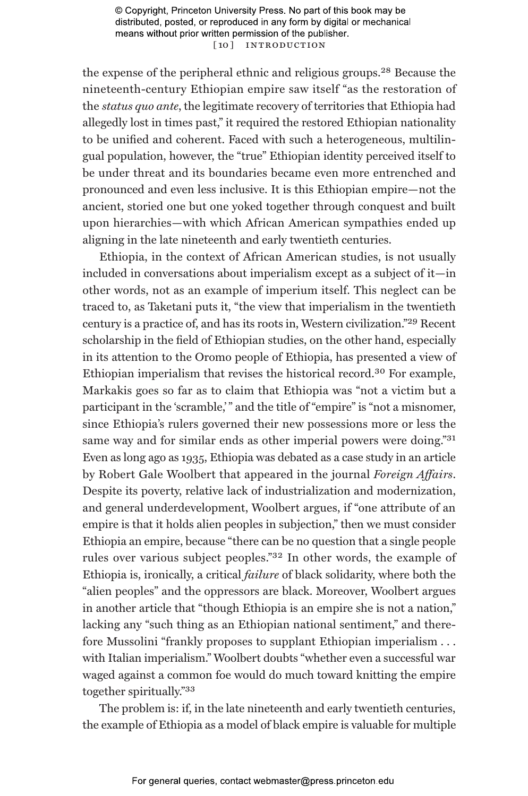© Copyright, Princeton University Press. No part of this book may be distributed, posted, or reproduced in any form by digital or mechanical means without prior written permission of the publisher. [10] INTRODUCTION

the expense of the peripheral ethnic and religious groups.28 Because the nineteenth-century Ethiopian empire saw itself "as the restoration of the *status quo ante*, the legitimate recovery of territories that Ethiopia had allegedly lost in times past," it required the restored Ethiopian nationality to be unified and coherent. Faced with such a heterogeneous, multilingual population, however, the "true" Ethiopian identity perceived itself to be under threat and its boundaries became even more entrenched and pronounced and even less inclusive. It is this Ethiopian empire—not the ancient, storied one but one yoked together through conquest and built upon hierarchies—with which African American sympathies ended up aligning in the late nineteenth and early twentieth centuries.

Ethiopia, in the context of African American studies, is not usually included in conversations about imperialism except as a subject of it—in other words, not as an example of imperium itself. This neglect can be traced to, as Taketani puts it, "the view that imperialism in the twentieth century is a practice of, and has its roots in, Western civilization."29 Recent scholarship in the field of Ethiopian studies, on the other hand, especially in its attention to the Oromo people of Ethiopia, has presented a view of Ethiopian imperialism that revises the historical record.30 For example, Markakis goes so far as to claim that Ethiopia was "not a victim but a participant in the 'scramble,' " and the title of "empire" is "not a misnomer, since Ethiopia's rulers governed their new possessions more or less the same way and for similar ends as other imperial powers were doing."31 Even as long ago as 1935, Ethiopia was debated as a case study in an article by Robert Gale Woolbert that appeared in the journal *Foreign Affairs*. Despite its poverty, relative lack of industrialization and modernization, and general underdevelopment, Woolbert argues, if "one attribute of an empire is that it holds alien peoples in subjection," then we must consider Ethiopia an empire, because "there can be no question that a single people rules over various subject peoples."32 In other words, the example of Ethiopia is, ironically, a critical *failure* of black solidarity, where both the "alien peoples" and the oppressors are black. Moreover, Woolbert argues in another article that "though Ethiopia is an empire she is not a nation," lacking any "such thing as an Ethiopian national sentiment," and therefore Mussolini "frankly proposes to supplant Ethiopian imperialism . . . with Italian imperialism." Woolbert doubts "whether even a successful war waged against a common foe would do much toward knitting the empire together spiritually."33

The problem is: if, in the late nineteenth and early twentieth centuries, the example of Ethiopia as a model of black empire is valuable for multiple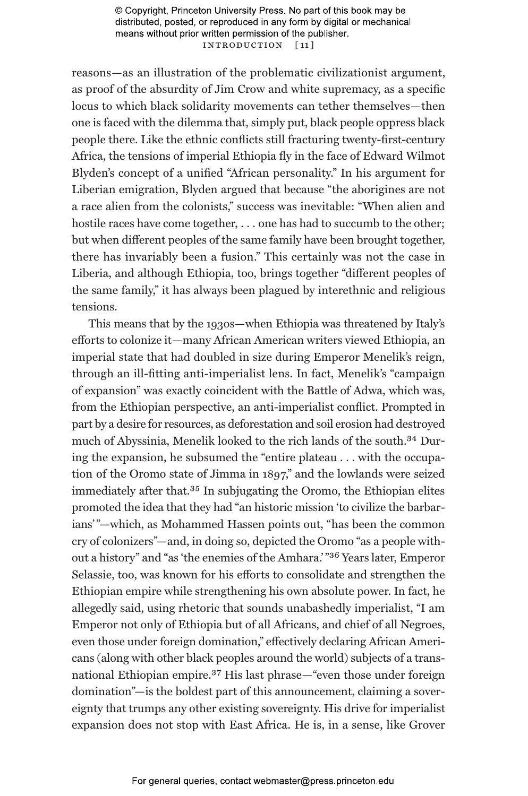© Copyright, Princeton University Press. No part of this book may be distributed, posted, or reproduced in any form by digital or mechanical means without prior written permission of the publisher. Introduction [ 11 ]

reasons—as an illustration of the problematic civilizationist argument, as proof of the absurdity of Jim Crow and white supremacy, as a specific locus to which black solidarity movements can tether themselves—then one is faced with the dilemma that, simply put, black people oppress black people there. Like the ethnic conflicts still fracturing twenty-first-century Africa, the tensions of imperial Ethiopia fly in the face of Edward Wilmot Blyden's concept of a unified "African personality." In his argument for Liberian emigration, Blyden argued that because "the aborigines are not a race alien from the colonists," success was inevitable: "When alien and hostile races have come together, ... one has had to succumb to the other; but when different peoples of the same family have been brought together, there has invariably been a fusion." This certainly was not the case in Liberia, and although Ethiopia, too, brings together "different peoples of the same family," it has always been plagued by interethnic and religious tensions.

This means that by the 1930s—when Ethiopia was threatened by Italy's efforts to colonize it—many African American writers viewed Ethiopia, an imperial state that had doubled in size during Emperor Menelik's reign, through an ill-fitting anti-imperialist lens. In fact, Menelik's "campaign of expansion" was exactly coincident with the Battle of Adwa, which was, from the Ethiopian perspective, an anti-imperialist conflict. Prompted in part by a desire for resources, as deforestation and soil erosion had destroyed much of Abyssinia, Menelik looked to the rich lands of the south.34 During the expansion, he subsumed the "entire plateau . . . with the occupation of the Oromo state of Jimma in 1897," and the lowlands were seized immediately after that.35 In subjugating the Oromo, the Ethiopian elites promoted the idea that they had "an historic mission 'to civilize the barbarians' "—which, as Mohammed Hassen points out, "has been the common cry of colonizers"—and, in doing so, depicted the Oromo "as a people without a history" and "as 'the enemies of the Amhara.' "36 Years later, Emperor Selassie, too, was known for his efforts to consolidate and strengthen the Ethiopian empire while strengthening his own absolute power. In fact, he allegedly said, using rhetoric that sounds unabashedly imperialist, "I am Emperor not only of Ethiopia but of all Africans, and chief of all Negroes, even those under foreign domination," effectively declaring African Americans (along with other black peoples around the world) subjects of a transnational Ethiopian empire.37 His last phrase—"even those under foreign domination"—is the boldest part of this announcement, claiming a sovereignty that trumps any other existing sovereignty. His drive for imperialist expansion does not stop with East Africa. He is, in a sense, like Grover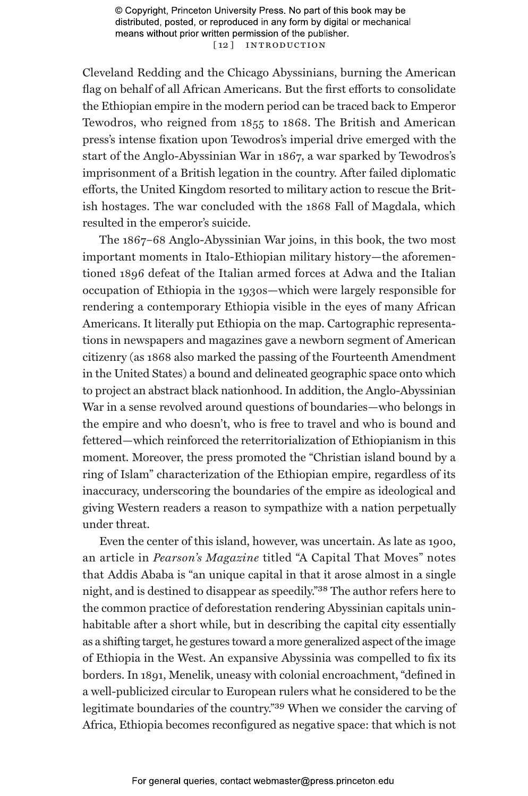© Copyright, Princeton University Press. No part of this book may be distributed, posted, or reproduced in any form by digital or mechanical means without prior written permission of the publisher. [12] INTRODUCTION

Cleveland Redding and the Chicago Abyssinians, burning the American flag on behalf of all African Americans. But the first efforts to consolidate the Ethiopian empire in the modern period can be traced back to Emperor Tewodros, who reigned from 1855 to 1868. The British and American press's intense fixation upon Tewodros's imperial drive emerged with the start of the Anglo-Abyssinian War in 1867, a war sparked by Tewodros's imprisonment of a British legation in the country. After failed diplomatic efforts, the United Kingdom resorted to military action to rescue the British hostages. The war concluded with the 1868 Fall of Magdala, which resulted in the emperor's suicide.

The 1867–68 Anglo-Abyssinian War joins, in this book, the two most important moments in Italo-Ethiopian military history—the aforementioned 1896 defeat of the Italian armed forces at Adwa and the Italian occupation of Ethiopia in the 1930s—which were largely responsible for rendering a contemporary Ethiopia visible in the eyes of many African Americans. It literally put Ethiopia on the map. Cartographic representations in newspapers and magazines gave a newborn segment of American citizenry (as 1868 also marked the passing of the Fourteenth Amendment in the United States) a bound and delineated geographic space onto which to project an abstract black nationhood. In addition, the Anglo-Abyssinian War in a sense revolved around questions of boundaries—who belongs in the empire and who doesn't, who is free to travel and who is bound and fettered—which reinforced the reterritorialization of Ethiopianism in this moment. Moreover, the press promoted the "Christian island bound by a ring of Islam" characterization of the Ethiopian empire, regardless of its inaccuracy, underscoring the boundaries of the empire as ideological and giving Western readers a reason to sympathize with a nation perpetually under threat.

Even the center of this island, however, was uncertain. As late as 1900, an article in *Pearson's Magazine* titled "A Capital That Moves" notes that Addis Ababa is "an unique capital in that it arose almost in a single night, and is destined to disappear as speedily."38 The author refers here to the common practice of deforestation rendering Abyssinian capitals uninhabitable after a short while, but in describing the capital city essentially as a shifting target, he gestures toward a more generalized aspect of the image of Ethiopia in the West. An expansive Abyssinia was compelled to fix its borders. In 1891, Menelik, uneasy with colonial encroachment, "defined in a well-publicized circular to European rulers what he considered to be the legitimate boundaries of the country."39 When we consider the carving of Africa, Ethiopia becomes reconfigured as negative space: that which is not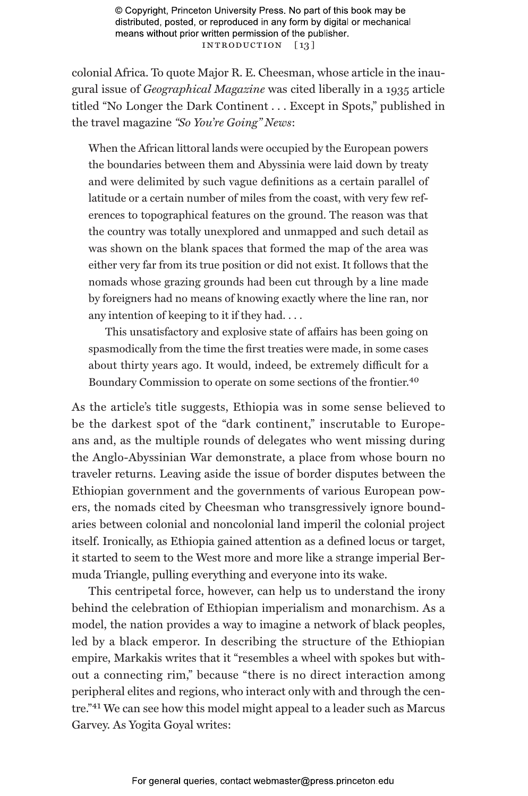© Copyright, Princeton University Press. No part of this book may be distributed, posted, or reproduced in any form by digital or mechanical means without prior written permission of the publisher. INTRODUCTION [13]

colonial Africa. To quote Major R. E. Cheesman, whose article in the inaugural issue of *Geographical Magazine* was cited liberally in a 1935 article titled "No Longer the Dark Continent . . . Except in Spots," published in the travel magazine *"So You're Going" News*:

When the African littoral lands were occupied by the European powers the boundaries between them and Abyssinia were laid down by treaty and were delimited by such vague definitions as a certain parallel of latitude or a certain number of miles from the coast, with very few references to topographical features on the ground. The reason was that the country was totally unexplored and unmapped and such detail as was shown on the blank spaces that formed the map of the area was either very far from its true position or did not exist. It follows that the nomads whose grazing grounds had been cut through by a line made by foreigners had no means of knowing exactly where the line ran, nor any intention of keeping to it if they had. . . .

This unsatisfactory and explosive state of affairs has been going on spasmodically from the time the first treaties were made, in some cases about thirty years ago. It would, indeed, be extremely difficult for a Boundary Commission to operate on some sections of the frontier.40

As the article's title suggests, Ethiopia was in some sense believed to be the darkest spot of the "dark continent," inscrutable to Europeans and, as the multiple rounds of delegates who went missing during the Anglo-Abyssinian War demonstrate, a place from whose bourn no traveler returns. Leaving aside the issue of border disputes between the Ethiopian government and the governments of various European powers, the nomads cited by Cheesman who transgressively ignore boundaries between colonial and noncolonial land imperil the colonial project itself. Ironically, as Ethiopia gained attention as a defined locus or target, it started to seem to the West more and more like a strange imperial Bermuda Triangle, pulling everything and everyone into its wake.

This centripetal force, however, can help us to understand the irony behind the celebration of Ethiopian imperialism and monarchism. As a model, the nation provides a way to imagine a network of black peoples, led by a black emperor. In describing the structure of the Ethiopian empire, Markakis writes that it "resembles a wheel with spokes but without a connecting rim," because "there is no direct interaction among peripheral elites and regions, who interact only with and through the centre."41 We can see how this model might appeal to a leader such as Marcus Garvey. As Yogita Goyal writes: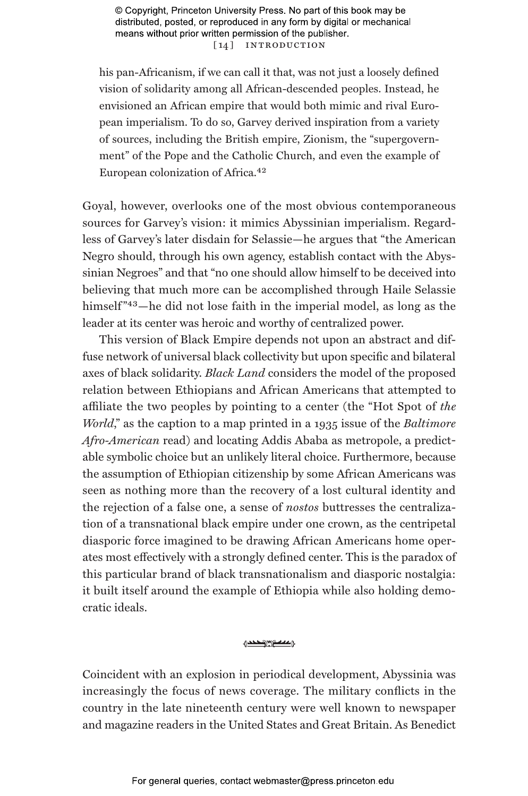© Copyright, Princeton University Press. No part of this book may be distributed, posted, or reproduced in any form by digital or mechanical means without prior written permission of the publisher. [14] INTRODUCTION

his pan-Africanism, if we can call it that, was not just a loosely defined vision of solidarity among all African-descended peoples. Instead, he envisioned an African empire that would both mimic and rival European imperialism. To do so, Garvey derived inspiration from a variety of sources, including the British empire, Zionism, the "supergovernment" of the Pope and the Catholic Church, and even the example of European colonization of Africa.42

Goyal, however, overlooks one of the most obvious contemporaneous sources for Garvey's vision: it mimics Abyssinian imperialism. Regardless of Garvey's later disdain for Selassie—he argues that "the American Negro should, through his own agency, establish contact with the Abyssinian Negroes" and that "no one should allow himself to be deceived into believing that much more can be accomplished through Haile Selassie himself<sup>"43</sup>—he did not lose faith in the imperial model, as long as the leader at its center was heroic and worthy of centralized power.

This version of Black Empire depends not upon an abstract and diffuse network of universal black collectivity but upon specific and bilateral axes of black solidarity. *Black Land* considers the model of the proposed relation between Ethiopians and African Americans that attempted to affiliate the two peoples by pointing to a center (the "Hot Spot of *the World*," as the caption to a map printed in a 1935 issue of the *Baltimore Afro-American* read) and locating Addis Ababa as metropole, a predictable symbolic choice but an unlikely literal choice. Furthermore, because the assumption of Ethiopian citizenship by some African Americans was seen as nothing more than the recovery of a lost cultural identity and the rejection of a false one, a sense of *nostos* buttresses the centralization of a transnational black empire under one crown, as the centripetal diasporic force imagined to be drawing African Americans home operates most effectively with a strongly defined center. This is the paradox of this particular brand of black transnationalism and diasporic nostalgia: it built itself around the example of Ethiopia while also holding democratic ideals.

## 1000 media

Coincident with an explosion in periodical development, Abyssinia was increasingly the focus of news coverage. The military conflicts in the country in the late nineteenth century were well known to newspaper and magazine readers in the United States and Great Britain. As Benedict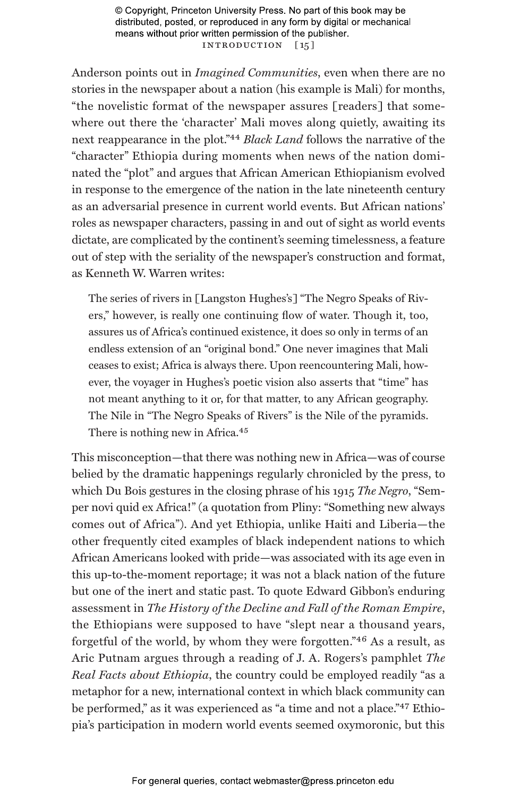© Copyright, Princeton University Press. No part of this book may be distributed, posted, or reproduced in any form by digital or mechanical means without prior written permission of the publisher. INTRODUCTION [15]

Anderson points out in *Imagined Communities*, even when there are no stories in the newspaper about a nation (his example is Mali) for months, "the novelistic format of the newspaper assures [readers] that somewhere out there the 'character' Mali moves along quietly, awaiting its next reappearance in the plot."44 *Black Land* follows the narrative of the "character" Ethiopia during moments when news of the nation dominated the "plot" and argues that African American Ethiopianism evolved in response to the emergence of the nation in the late nineteenth century as an adversarial presence in current world events. But African nations' roles as newspaper characters, passing in and out of sight as world events dictate, are complicated by the continent's seeming timelessness, a feature out of step with the seriality of the newspaper's construction and format, as Kenneth W. Warren writes:

The series of rivers in [Langston Hughes's] "The Negro Speaks of Rivers," however, is really one continuing flow of water. Though it, too, assures us of Africa's continued existence, it does so only in terms of an endless extension of an "original bond." One never imagines that Mali ceases to exist; Africa is always there. Upon reencountering Mali, however, the voyager in Hughes's poetic vision also asserts that "time" has not meant anything to it or, for that matter, to any African geography. The Nile in "The Negro Speaks of Rivers" is the Nile of the pyramids. There is nothing new in Africa.<sup>45</sup>

This misconception—that there was nothing new in Africa—was of course belied by the dramatic happenings regularly chronicled by the press, to which Du Bois gestures in the closing phrase of his 1915 *The Negro*, "Semper novi quid ex Africa!" (a quotation from Pliny: "Something new always comes out of Africa"). And yet Ethiopia, unlike Haiti and Liberia—the other frequently cited examples of black independent nations to which African Americans looked with pride—was associated with its age even in this up-to-the-moment reportage; it was not a black nation of the future but one of the inert and static past. To quote Edward Gibbon's enduring assessment in *The History of the Decline and Fall of the Roman Empire*, the Ethiopians were supposed to have "slept near a thousand years, forgetful of the world, by whom they were forgotten."46 As a result, as Aric Putnam argues through a reading of J. A. Rogers's pamphlet *The Real Facts about Ethiopia*, the country could be employed readily "as a metaphor for a new, international context in which black community can be performed," as it was experienced as "a time and not a place."47 Ethiopia's participation in modern world events seemed oxymoronic, but this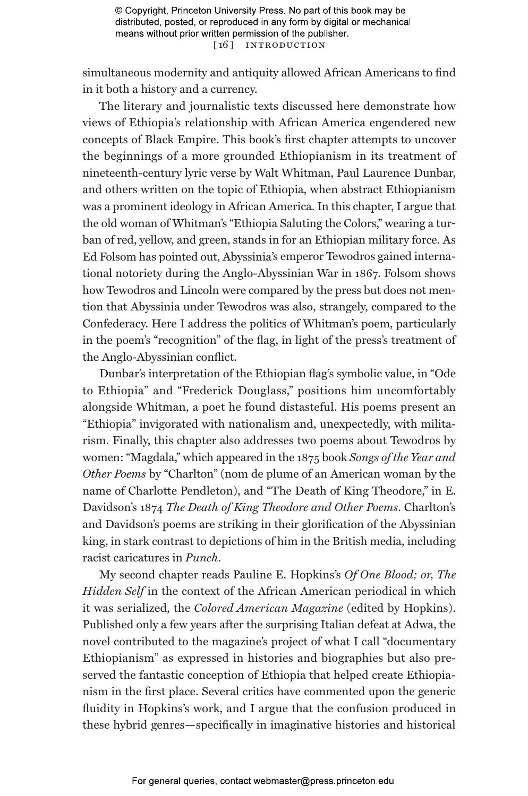simultaneous modernity and antiquity allowed African Americans to find in it both a history and a currency.

The literary and journalistic texts discussed here demonstrate how views of Ethiopia's relationship with African America engendered new concepts of Black Empire. This book's first chapter attempts to uncover the beginnings of a more grounded Ethiopianism in its treatment of nineteenth-century lyric verse by Walt Whitman, Paul Laurence Dunbar, and others written on the topic of Ethiopia, when abstract Ethiopianism was a prominent ideology in African America. In this chapter, I argue that the old woman of Whitman's "Ethiopia Saluting the Colors," wearing a turban of red, yellow, and green, stands in for an Ethiopian military force. As Ed Folsom has pointed out, Abyssinia's emperor Tewodros gained international notoriety during the Anglo-Abyssinian War in 1867. Folsom shows how Tewodros and Lincoln were compared by the press but does not mention that Abyssinia under Tewodros was also, strangely, compared to the Confederacy. Here I address the politics of Whitman's poem, particularly in the poem's "recognition" of the flag, in light of the press's treatment of the Anglo-Abyssinian conflict.

Dunbar's interpretation of the Ethiopian flag's symbolic value, in "Ode to Ethiopia" and "Frederick Douglass," positions him uncomfortably alongside Whitman, a poet he found distasteful. His poems present an "Ethiopia" invigorated with nationalism and, unexpectedly, with militarism. Finally, this chapter also addresses two poems about Tewodros by women: "Magdala," which appeared in the 1875 book *Songs of the Year and Other Poems* by "Charlton" (nom de plume of an American woman by the name of Charlotte Pendleton), and "The Death of King Theodore," in E. Davidson's 1874 *The Death of King Theodore and Other Poems*. Charlton's and Davidson's poems are striking in their glorification of the Abyssinian king, in stark contrast to depictions of him in the British media, including racist caricatures in *Punch*.

My second chapter reads Pauline E. Hopkins's *Of One Blood; or, The Hidden Self* in the context of the African American periodical in which it was serialized, the *Colored American Magazine* (edited by Hopkins). Published only a few years after the surprising Italian defeat at Adwa, the novel contributed to the magazine's project of what I call "documentary Ethiopianism" as expressed in histories and biographies but also preserved the fantastic conception of Ethiopia that helped create Ethiopianism in the first place. Several critics have commented upon the generic fluidity in Hopkins's work, and I argue that the confusion produced in these hybrid genres—specifically in imaginative histories and historical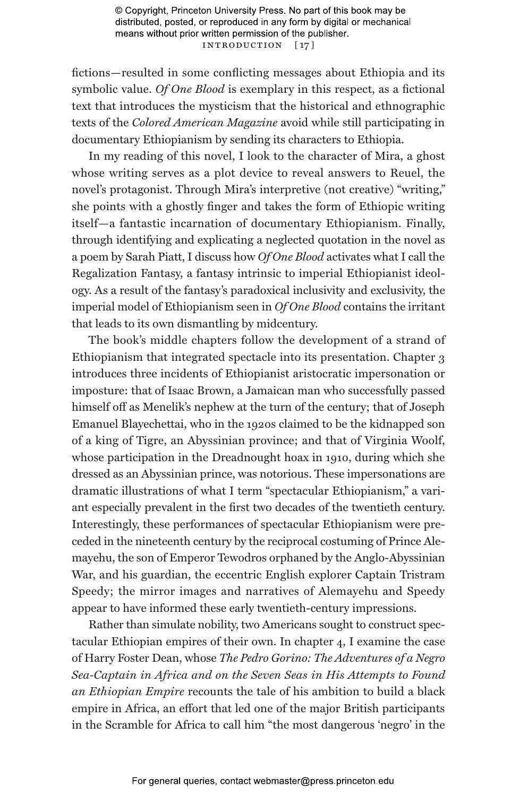© Copyright, Princeton University Press. No part of this book may be distributed, posted, or reproduced in any form by digital or mechanical means without prior written permission of the publisher. INTRODUCTION [17]

fictions—resulted in some conflicting messages about Ethiopia and its symbolic value. *Of One Blood* is exemplary in this respect, as a fictional text that introduces the mysticism that the historical and ethnographic texts of the *Colored American Magazine* avoid while still participating in documentary Ethiopianism by sending its characters to Ethiopia.

In my reading of this novel, I look to the character of Mira, a ghost whose writing serves as a plot device to reveal answers to Reuel, the novel's protagonist. Through Mira's interpretive (not creative) "writing," she points with a ghostly finger and takes the form of Ethiopic writing itself—a fantastic incarnation of documentary Ethiopianism. Finally, through identifying and explicating a neglected quotation in the novel as a poem by Sarah Piatt, I discuss how *Of One Blood* activates what I call the Regalization Fantasy, a fantasy intrinsic to imperial Ethiopianist ideology. As a result of the fantasy's paradoxical inclusivity and exclusivity, the imperial model of Ethiopianism seen in *Of One Blood* contains the irritant that leads to its own dismantling by midcentury.

The book's middle chapters follow the development of a strand of Ethiopianism that integrated spectacle into its presentation. Chapter 3 introduces three incidents of Ethiopianist aristocratic impersonation or imposture: that of Isaac Brown, a Jamaican man who successfully passed himself off as Menelik's nephew at the turn of the century; that of Joseph Emanuel Blayechettai, who in the 1920s claimed to be the kidnapped son of a king of Tigre, an Abyssinian province; and that of Virginia Woolf, whose participation in the Dreadnought hoax in 1910, during which she dressed as an Abyssinian prince, was notorious. These impersonations are dramatic illustrations of what I term "spectacular Ethiopianism," a variant especially prevalent in the first two decades of the twentieth century. Interestingly, these performances of spectacular Ethiopianism were preceded in the nineteenth century by the reciprocal costuming of Prince Alemayehu, the son of Emperor Tewodros orphaned by the Anglo-Abyssinian War, and his guardian, the eccentric English explorer Captain Tristram Speedy; the mirror images and narratives of Alemayehu and Speedy appear to have informed these early twentieth-century impressions.

Rather than simulate nobility, two Americans sought to construct spectacular Ethiopian empires of their own. In chapter 4, I examine the case of Harry Foster Dean, whose *The Pedro Gorino: The Adventures of a Negro Sea-Captain in Africa and on the Seven Seas in His Attempts to Found an Ethiopian Empire* recounts the tale of his ambition to build a black empire in Africa, an effort that led one of the major British participants in the Scramble for Africa to call him "the most dangerous 'negro' in the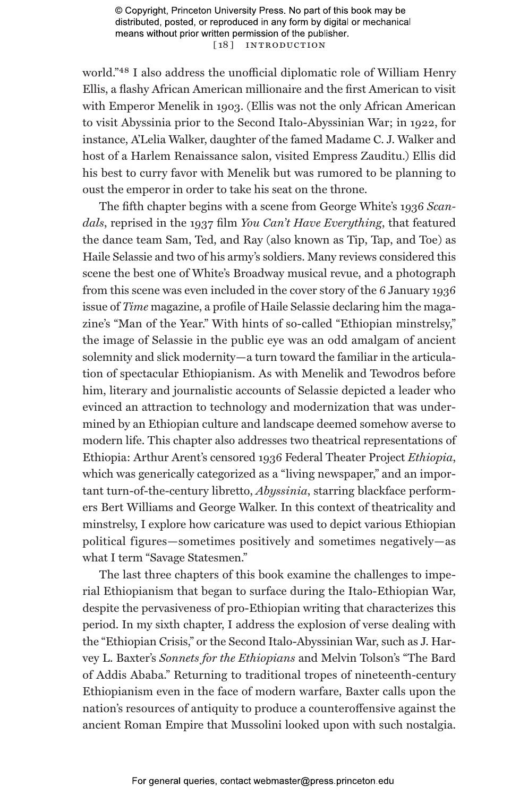© Copyright, Princeton University Press. No part of this book may be distributed, posted, or reproduced in any form by digital or mechanical means without prior written permission of the publisher. [18] INTRODUCTION

world."48 I also address the unofficial diplomatic role of William Henry Ellis, a flashy African American millionaire and the first American to visit with Emperor Menelik in 1903. (Ellis was not the only African American to visit Abyssinia prior to the Second Italo-Abyssinian War; in 1922, for instance, A'Lelia Walker, daughter of the famed Madame C. J. Walker and host of a Harlem Renaissance salon, visited Empress Zauditu.) Ellis did his best to curry favor with Menelik but was rumored to be planning to oust the emperor in order to take his seat on the throne.

The fifth chapter begins with a scene from George White's 1936 *Scandals*, reprised in the 1937 film *You Can't Have Everything*, that featured the dance team Sam, Ted, and Ray (also known as Tip, Tap, and Toe) as Haile Selassie and two of his army's soldiers. Many reviews considered this scene the best one of White's Broadway musical revue, and a photograph from this scene was even included in the cover story of the 6 January 1936 issue of *Time* magazine, a profile of Haile Selassie declaring him the magazine's "Man of the Year." With hints of so-called "Ethiopian minstrelsy," the image of Selassie in the public eye was an odd amalgam of ancient solemnity and slick modernity—a turn toward the familiar in the articulation of spectacular Ethiopianism. As with Menelik and Tewodros before him, literary and journalistic accounts of Selassie depicted a leader who evinced an attraction to technology and modernization that was undermined by an Ethiopian culture and landscape deemed somehow averse to modern life. This chapter also addresses two theatrical representations of Ethiopia: Arthur Arent's censored 1936 Federal Theater Project *Ethiopia*, which was generically categorized as a "living newspaper," and an important turn-of-the-century libretto, *Abyssinia*, starring blackface performers Bert Williams and George Walker. In this context of theatricality and minstrelsy, I explore how caricature was used to depict various Ethiopian political figures—sometimes positively and sometimes negatively—as what I term "Savage Statesmen."

The last three chapters of this book examine the challenges to imperial Ethiopianism that began to surface during the Italo-Ethiopian War, despite the pervasiveness of pro-Ethiopian writing that characterizes this period. In my sixth chapter, I address the explosion of verse dealing with the "Ethiopian Crisis," or the Second Italo-Abyssinian War, such as J. Harvey L. Baxter's *Sonnets for the Ethiopians* and Melvin Tolson's "The Bard of Addis Ababa." Returning to traditional tropes of nineteenth-century Ethiopianism even in the face of modern warfare, Baxter calls upon the nation's resources of antiquity to produce a counteroffensive against the ancient Roman Empire that Mussolini looked upon with such nostalgia.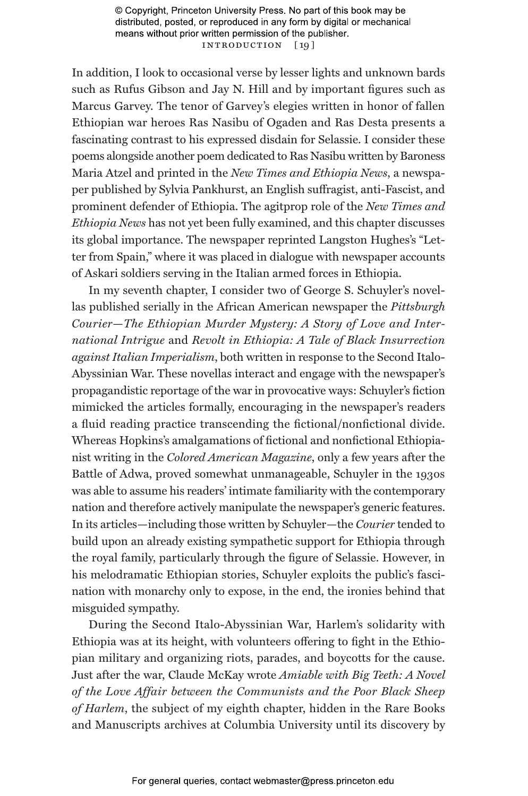© Copyright, Princeton University Press. No part of this book may be distributed, posted, or reproduced in any form by digital or mechanical means without prior written permission of the publisher. INTRODUCTION [19]

In addition, I look to occasional verse by lesser lights and unknown bards such as Rufus Gibson and Jay N. Hill and by important figures such as Marcus Garvey. The tenor of Garvey's elegies written in honor of fallen Ethiopian war heroes Ras Nasibu of Ogaden and Ras Desta presents a fascinating contrast to his expressed disdain for Selassie. I consider these poems alongside another poem dedicated to Ras Nasibu written by Baroness Maria Atzel and printed in the *New Times and Ethiopia News*, a newspaper published by Sylvia Pankhurst, an English suffragist, anti-Fascist, and prominent defender of Ethiopia. The agitprop role of the *New Times and Ethiopia News* has not yet been fully examined, and this chapter discusses its global importance. The newspaper reprinted Langston Hughes's "Letter from Spain," where it was placed in dialogue with newspaper accounts of Askari soldiers serving in the Italian armed forces in Ethiopia.

In my seventh chapter, I consider two of George S. Schuyler's novellas published serially in the African American newspaper the *Pittsburgh Courier*—*The Ethiopian Murder Mystery: A Story of Love and International Intrigue* and *Revolt in Ethiopia: A Tale of Black Insurrection against Italian Imperialism*, both written in response to the Second Italo-Abyssinian War. These novellas interact and engage with the newspaper's propagandistic reportage of the war in provocative ways: Schuyler's fiction mimicked the articles formally, encouraging in the newspaper's readers a fluid reading practice transcending the fictional/nonfictional divide. Whereas Hopkins's amalgamations of fictional and nonfictional Ethiopianist writing in the *Colored American Magazine*, only a few years after the Battle of Adwa, proved somewhat unmanageable, Schuyler in the 1930s was able to assume his readers' intimate familiarity with the contemporary nation and therefore actively manipulate the newspaper's generic features. In its articles—including those written by Schuyler—the *Courier* tended to build upon an already existing sympathetic support for Ethiopia through the royal family, particularly through the figure of Selassie. However, in his melodramatic Ethiopian stories, Schuyler exploits the public's fascination with monarchy only to expose, in the end, the ironies behind that misguided sympathy.

During the Second Italo-Abyssinian War, Harlem's solidarity with Ethiopia was at its height, with volunteers offering to fight in the Ethiopian military and organizing riots, parades, and boycotts for the cause. Just after the war, Claude McKay wrote *Amiable with Big Teeth: A Novel of the Love Affair between the Communists and the Poor Black Sheep of Harlem*, the subject of my eighth chapter, hidden in the Rare Books and Manuscripts archives at Columbia University until its discovery by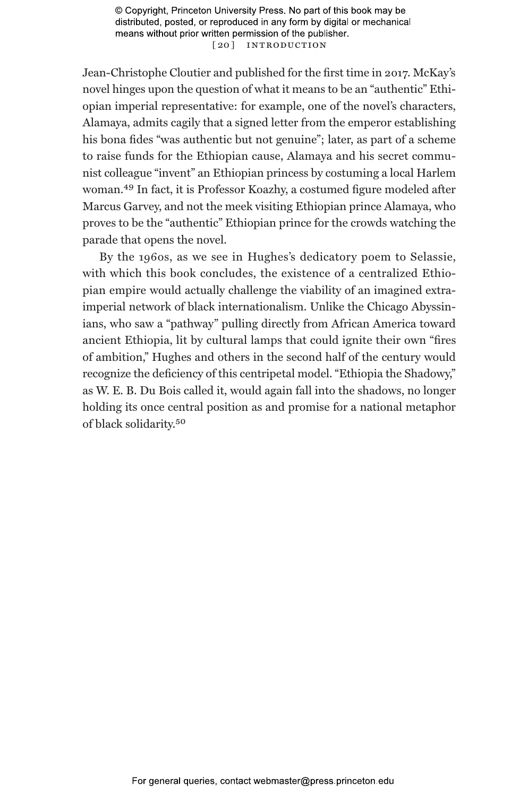© Copyright, Princeton University Press. No part of this book may be distributed, posted, or reproduced in any form by digital or mechanical means without prior written permission of the publisher. [ 20 ] Introduction

Jean-Christophe Cloutier and published for the first time in 2017. McKay's novel hinges upon the question of what it means to be an "authentic" Ethiopian imperial representative: for example, one of the novel's characters, Alamaya, admits cagily that a signed letter from the emperor establishing his bona fides "was authentic but not genuine"; later, as part of a scheme to raise funds for the Ethiopian cause, Alamaya and his secret communist colleague "invent" an Ethiopian princess by costuming a local Harlem woman.49 In fact, it is Professor Koazhy, a costumed figure modeled after Marcus Garvey, and not the meek visiting Ethiopian prince Alamaya, who proves to be the "authentic" Ethiopian prince for the crowds watching the parade that opens the novel.

By the 1960s, as we see in Hughes's dedicatory poem to Selassie, with which this book concludes, the existence of a centralized Ethiopian empire would actually challenge the viability of an imagined extraimperial network of black internationalism. Unlike the Chicago Abyssinians, who saw a "pathway" pulling directly from African America toward ancient Ethiopia, lit by cultural lamps that could ignite their own "fires of ambition," Hughes and others in the second half of the century would recognize the deficiency of this centripetal model. "Ethiopia the Shadowy," as W. E. B. Du Bois called it, would again fall into the shadows, no longer holding its once central position as and promise for a national metaphor of black solidarity.50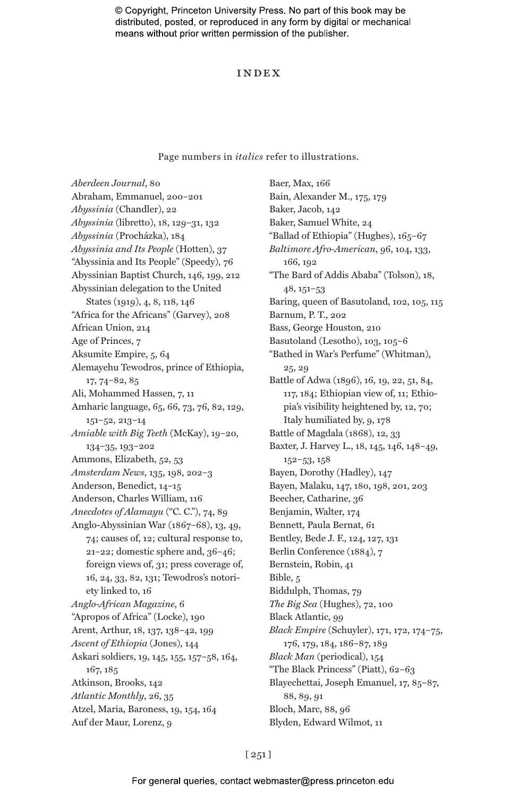© Copyright, Princeton University Press. No part of this book may be distributed, posted, or reproduced in any form by digital or mechanical means without prior written permission of the publisher.

#### Index

Page numbers in *italics* refer to illustrations.

*Aberdeen Journal*, 80 Abraham, Emmanuel, 200–201 *Abyssinia* (Chandler), 22 *Abyssinia* (libretto), 18, 129–31, 132 *Abyssinia* (Procházka), 184 *Abyssinia and Its People* (Hotten), 37 "Abyssinia and Its People" (Speedy), 76 Abyssinian Baptist Church, 146, 199, 212 Abyssinian delegation to the United States (1919), 4, 8, 118, 146 "Africa for the Africans" (Garvey), 208 African Union, 214 Age of Princes, 7 Aksumite Empire, 5, 64 Alemayehu Tewodros, prince of Ethiopia, 17, 74–82, 85 Ali, Mohammed Hassen, 7, 11 Amharic language, 65, 66, 73, 76, 82, 129, 151–52, 213–14 *Amiable with Big Teeth* (McKay), 19–20, 134–35, 193–202 Ammons, Elizabeth, 52, 53 *Amsterdam News*, 135, 198, 202–3 Anderson, Benedict, 14–15 Anderson, Charles William, 116 *Anecdotes of Alamayu* ("C. C."), 74, 89 Anglo-Abyssinian War (1867–68), 13, 49, 74; causes of, 12; cultural response to, 21–22; domestic sphere and, 36–46; foreign views of, 31; press coverage of, 16, 24, 33, 82, 131; Tewodros's notoriety linked to, 16 *Anglo-African Magazine*, 6 "Apropos of Africa" (Locke), 190 Arent, Arthur, 18, 137, 138–42, 199 *Ascent of Ethiopia* (Jones), 144 Askari soldiers, 19, 145, 155, 157–58, 164, 167, 185 Atkinson, Brooks, 142 *Atlantic Monthly*, 26, 35 Atzel, Maria, Baroness, 19, 154, 164 Auf der Maur, Lorenz, 9

Baer, Max, 166 Bain, Alexander M., 175, 179 Baker, Jacob, 142 Baker, Samuel White, 24 "Ballad of Ethiopia" (Hughes), 165–67 *Baltimore Afro-American*, 96, 104, 133, 166, 192 "The Bard of Addis Ababa" (Tolson), 18, 48, 151–53 Baring, queen of Basutoland, 102, 105, 115 Barnum, P. T., 202 Bass, George Houston, 210 Basutoland (Lesotho), 103, 105–6 "Bathed in War's Perfume" (Whitman), 25, 29 Battle of Adwa (1896), 16, 19, 22, 51, 84, 117, 184; Ethiopian view of, 11; Ethiopia's visibility heightened by, 12, 70; Italy humiliated by, 9, 178 Battle of Magdala (1868), 12, 33 Baxter, J. Harvey L., 18, 145, 146, 148–49, 152–53, 158 Bayen, Dorothy (Hadley), 147 Bayen, Malaku, 147, 180, 198, 201, 203 Beecher, Catharine, 36 Benjamin, Walter, 174 Bennett, Paula Bernat, 61 Bentley, Bede J. F., 124, 127, 131 Berlin Conference (1884), 7 Bernstein, Robin, 41 Bible, 5 Biddulph, Thomas, 79 *The Big Sea* (Hughes), 72, 100 Black Atlantic, 99 *Black Empire* (Schuyler), 171, 172, 174–75, 176, 179, 184, 186–87, 189 *Black Man* (periodical), 154 "The Black Princess" (Piatt), 62–63 Blayechettai, Joseph Emanuel, 17, 85–87, 88, 89, 91 Bloch, Marc, 88, 96 Blyden, Edward Wilmot, 11

## [ 251 ]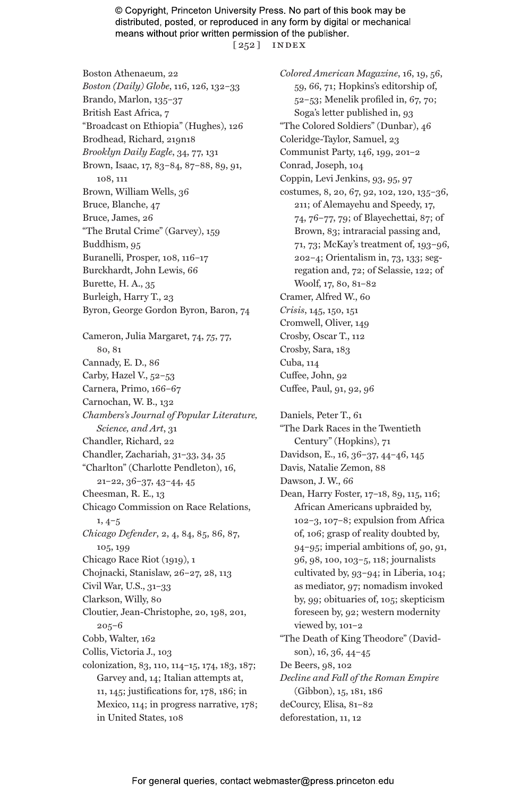© Copyright, Princeton University Press. No part of this book may be distributed, posted, or reproduced in any form by digital or mechanical means without prior written permission of the publisher. [ 252 ] index

Boston Athenaeum, 22 *Boston (Daily) Globe*, 116, 126, 132–33 Brando, Marlon, 135–37 British East Africa, 7 "Broadcast on Ethiopia" (Hughes), 126 Brodhead, Richard, 219n18 *Brooklyn Daily Eagle*, 34, 77, 131 Brown, Isaac, 17, 83–84, 87–88, 89, 91, 108, 111 Brown, William Wells, 36 Bruce, Blanche, 47 Bruce, James, 26 "The Brutal Crime" (Garvey), 159 Buddhism, 95 Buranelli, Prosper, 108, 116–17 Burckhardt, John Lewis, 66 Burette, H. A., 35 Burleigh, Harry T., 23 Byron, George Gordon Byron, Baron, 74 Cameron, Julia Margaret, 74, *75*, 77, 80, 81 Cannady, E. D., 86 Carby, Hazel V., 52–53 Carnera, Primo, 166–67 Carnochan, W. B., 132 *Chambers's Journal of Popular Literature, Science, and Art*, 31 Chandler, Richard, 22 Chandler, Zachariah, 31–33, 34, 35 "Charlton" (Charlotte Pendleton), 16, 21–22, 36–37, 43–44, 45 Cheesman, R. E., 13 Chicago Commission on Race Relations, 1, 4–5 *Chicago Defender*, 2, 4, 84, 85, 86, 87, 105, 199 Chicago Race Riot (1919), 1 Chojnacki, Stanislaw, 26–27, 28, 113 Civil War, U.S., 31–33 Clarkson, Willy, 80 Cloutier, Jean-Christophe, 20, 198, 201, 205–6 Cobb, Walter, 162 Collis, Victoria J., 103 colonization, 83, 110, 114–15, 174, 183, 187; Garvey and, 14; Italian attempts at, 11, 145; justifications for, 178, 186; in Mexico, 114; in progress narrative, 178; in United States, 108

*Colored American Magazine*, 16, 19, 56, 59, 66, 71; Hopkins's editorship of, 52–53; Menelik profiled in, 67, 70; Soga's letter published in, 93 "The Colored Soldiers" (Dunbar), 46 Coleridge-Taylor, Samuel, 23 Communist Party, 146, 199, 201–2 Conrad, Joseph, 104 Coppin, Levi Jenkins, 93, 95, 97 costumes, 8, 20, 67, 92, 102, 120, 135–36, 211; of Alemayehu and Speedy, 17, 74, 76–77, 79; of Blayechettai, 87; of Brown, 83; intraracial passing and, 71, 73; McKay's treatment of, 193–96, 202–4; Orientalism in, 73, 133; segregation and, 72; of Selassie, 122; of Woolf, 17, 80, 81–82 Cramer, Alfred W., 60 *Crisis*, 145, 150, 151 Cromwell, Oliver, 149 Crosby, Oscar T., 112 Crosby, Sara, 183 Cuba, 114 Cuffee, John, 92 Cuffee, Paul, 91, 92, 96

Daniels, Peter T., 61 "The Dark Races in the Twentieth Century" (Hopkins), 71 Davidson, E., 16, 36–37, 44–46, 145 Davis, Natalie Zemon, 88 Dawson, J. W., 66 Dean, Harry Foster, 17–18, 89, 115, 116; African Americans upbraided by, 102–3, 107–8; expulsion from Africa of, 106; grasp of reality doubted by, 94–95; imperial ambitions of, 90, 91, 96, 98, 100, 103–5, 118; journalists cultivated by, 93–94; in Liberia, 104; as mediator, 97; nomadism invoked by, 99; obituaries of, 105; skepticism foreseen by, 92; western modernity viewed by, 101–2 "The Death of King Theodore" (Davidson), 16, 36, 44–45 De Beers, 98, 102 *Decline and Fall of the Roman Empire* (Gibbon), 15, 181, 186 deCourcy, Elisa, 81–82 deforestation, 11, 12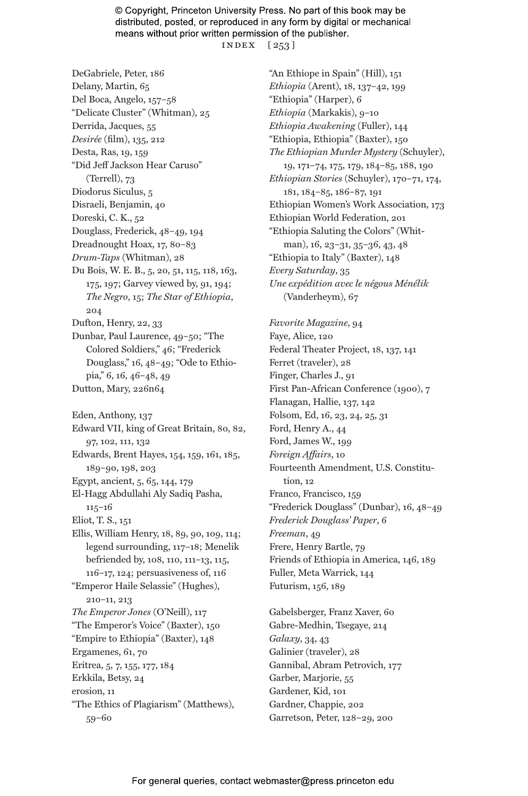© Copyright, Princeton University Press. No part of this book may be distributed, posted, or reproduced in any form by digital or mechanical means without prior written permission of the publisher. index [ 253 ]

DeGabriele, Peter, 186 Delany, Martin, 65 Del Boca, Angelo, 157–58 "Delicate Cluster" (Whitman), 25 Derrida, Jacques, 55 *Desirée* (film), 135, 212 Desta, Ras, 19, 159 "Did Jeff Jackson Hear Caruso" (Terrell), 73 Diodorus Siculus, 5 Disraeli, Benjamin, 40 Doreski, C. K., 52 Douglass, Frederick, 48–49, 194 Dreadnought Hoax, 17, 80–83 *Drum-Taps* (Whitman), 28 Du Bois, W. E. B., 5, 20, 51, 115, 118, 163, 175, 197; Garvey viewed by, 91, 194; *The Negro*, 15; *The Star of Ethiopia*, 204 Dufton, Henry, 22, 33 Dunbar, Paul Laurence, 49–50; "The Colored Soldiers," 46; "Frederick Douglass," 16, 48–49; "Ode to Ethiopia," 6, 16, 46–48, 49 Dutton, Mary, 226n64 Eden, Anthony, 137 Edward VII, king of Great Britain, 80, 82, 97, 102, 111, 132 Edwards, Brent Hayes, 154, 159, 161, 185, 189–90, 198, 203 Egypt, ancient, 5, 65, 144, 179 El-Hagg Abdullahi Aly Sadiq Pasha, 115–16 Eliot, T. S., 151 Ellis, William Henry, 18, 89, 90, 109, 114; legend surrounding, 117–18; Menelik befriended by, 108, 110, 111–13, 115, 116–17, 124; persuasiveness of, 116 "Emperor Haile Selassie" (Hughes), 210–11, 213 *The Emperor Jones* (O'Neill), 117 "The Emperor's Voice" (Baxter), 150 "Empire to Ethiopia" (Baxter), 148 Ergamenes, 61, 70 Eritrea, 5, 7, 155, 177, 184 Erkkila, Betsy, 24 erosion, 11 "The Ethics of Plagiarism" (Matthews), 59–60

"An Ethiope in Spain" (Hill), 151 *Ethiopia* (Arent), 18, 137–42, 199 "Ethiopia" (Harper), 6 *Ethiopia* (Markakis), 9–10 *Ethiopia Awakening* (Fuller), 144 "Ethiopia, Ethiopia" (Baxter), 150 *The Ethiopian Murder Mystery* (Schuyler), 19, 171–74, 175, 179, 184–85, 188, 190 *Ethiopian Stories* (Schuyler), 170–71, 174, 181, 184–85, 186–87, 191 Ethiopian Women's Work Association, 173 Ethiopian World Federation, 201 "Ethiopia Saluting the Colors" (Whitman), 16, 23–31, 35–36, 43, 48 "Ethiopia to Italy" (Baxter), 148 *Every Saturday*, 35 *Une expédition avec le négous Ménélik* (Vanderheym), 67

*Favorite Magazine*, 94 Faye, Alice, 120 Federal Theater Project, 18, 137, 141 Ferret (traveler), 28 Finger, Charles J., 91 First Pan-African Conference (1900), 7 Flanagan, Hallie, 137, 142 Folsom, Ed, 16, 23, 24, 25, 31 Ford, Henry A., 44 Ford, James W., 199 *Foreign Affairs*, 10 Fourteenth Amendment, U.S. Constitution, 12 Franco, Francisco, 159 "Frederick Douglass" (Dunbar), 16, 48–49 *Frederick Douglass' Paper*, 6 *Freeman*, 49 Frere, Henry Bartle, 79 Friends of Ethiopia in America, 146, 189 Fuller, Meta Warrick, 144 Futurism, 156, 189

Gabelsberger, Franz Xaver, 60 Gabre-Medhin, Tsegaye, 214 *Galaxy*, 34, 43 Galinier (traveler), 28 Gannibal, Abram Petrovich, 177 Garber, Marjorie, 55 Gardener, Kid, 101 Gardner, Chappie, 202 Garretson, Peter, 128–29, 200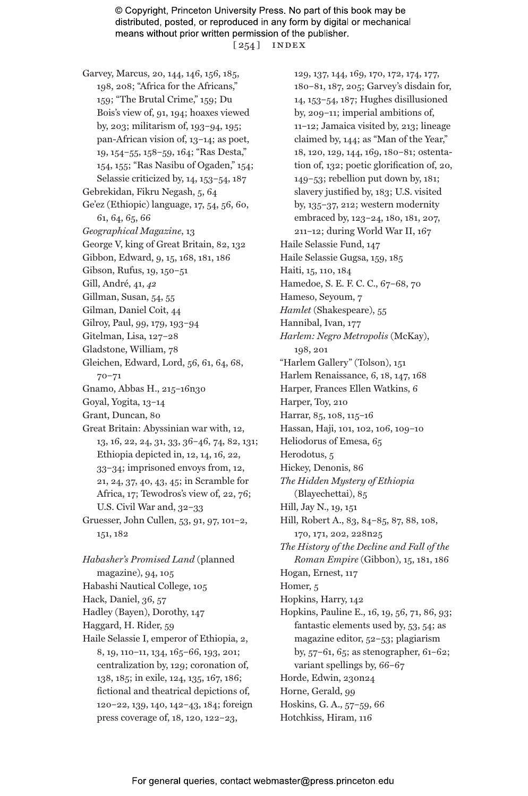© Copyright, Princeton University Press. No part of this book may be distributed, posted, or reproduced in any form by digital or mechanical means without prior written permission of the publisher. [ 254 ] index

Garvey, Marcus, 20, 144, 146, 156, 185, 198, 208; "Africa for the Africans," 159; "The Brutal Crime," 159; Du Bois's view of, 91, 194; hoaxes viewed by, 203; militarism of, 193–94, 195; pan-African vision of, 13–14; as poet, 19, 154–55, 158–59, 164; "Ras Desta," 154, 155; "Ras Nasibu of Ogaden," 154; Selassie criticized by, 14, 153–54, 187 Gebrekidan, Fikru Negash, 5, 64 Ge'ez (Ethiopic) language, 17, 54, 56, 60, 61, 64, 65, 66 *Geographical Magazine*, 13 George V, king of Great Britain, 82, 132 Gibbon, Edward, 9, 15, 168, 181, 186 Gibson, Rufus, 19, 150–51 Gill, André, 41, *42* Gillman, Susan, 54, 55 Gilman, Daniel Coit, 44 Gilroy, Paul, 99, 179, 193–94 Gitelman, Lisa, 127–28 Gladstone, William, 78 Gleichen, Edward, Lord, 56, 61, 64, 68, 70–71 Gnamo, Abbas H., 215–16n30 Goyal, Yogita, 13–14 Grant, Duncan, 80 Great Britain: Abyssinian war with, 12, 13, 16, 22, 24, 31, 33, 36–46, 74, 82, 131; Ethiopia depicted in, 12, 14, 16, 22, 33–34; imprisoned envoys from, 12, 21, 24, 37, 40, 43, 45; in Scramble for Africa, 17; Tewodros's view of, 22, 76; U.S. Civil War and, 32–33 Gruesser, John Cullen, 53, 91, 97, 101–2, 151, 182

*Habasher's Promised Land* (planned magazine), 94, 105 Habashi Nautical College, 105 Hack, Daniel, 36, 57 Hadley (Bayen), Dorothy, 147 Haggard, H. Rider, 59 Haile Selassie I, emperor of Ethiopia, 2, 8, 19, 110–11, 134, 165–66, 193, 201; centralization by, 129; coronation of, 138, 185; in exile, 124, 135, 167, 186; fictional and theatrical depictions of, 120–22, 139, 140, 142–43, 184; foreign press coverage of, 18, 120, 122–23,

129, 137, 144, 169, 170, 172, 174, 177, 180–81, 187, 205; Garvey's disdain for, 14, 153–54, 187; Hughes disillusioned by, 209–11; imperial ambitions of, 11–12; Jamaica visited by, 213; lineage claimed by, 144; as "Man of the Year," 18, 120, 129, 144, 169, 180–81; ostentation of, 132; poetic glorification of, 20, 149–53; rebellion put down by, 181; slavery justified by, 183; U.S. visited by, 135–37, 212; western modernity embraced by, 123–24, 180, 181, 207, 211–12; during World War II, 167 Haile Selassie Fund, 147 Haile Selassie Gugsa, 159, 185 Haiti, 15, 110, 184 Hamedoe, S. E. F. C. C., 67–68, 70 Hameso, Seyoum, 7 *Hamlet* (Shakespeare), 55 Hannibal, Ivan, 177 *Harlem: Negro Metropolis* (McKay), 198, 201 "Harlem Gallery" (Tolson), 151 Harlem Renaissance, 6, 18, 147, 168 Harper, Frances Ellen Watkins, 6 Harper, Toy, 210 Harrar, 85, 108, 115–16 Hassan, Haji, 101, 102, 106, 109–10 Heliodorus of Emesa, 65 Herodotus, 5 Hickey, Denonis, 86 *The Hidden Mystery of Ethiopia* (Blayechettai), 85 Hill, Jay N., 19, 151 Hill, Robert A., 83, 84–85, 87, 88, 108, 170, 171, 202, 228n25 *The History of the Decline and Fall of the Roman Empire* (Gibbon), 15, 181, 186 Hogan, Ernest, 117 Homer, 5 Hopkins, Harry, 142 Hopkins, Pauline E., 16, 19, 56, 71, 86, 93; fantastic elements used by, 53, 54; as magazine editor, 52–53; plagiarism by, 57–61, 65; as stenographer, 61–62; variant spellings by, 66–67 Horde, Edwin, 230n24 Horne, Gerald, 99 Hoskins, G. A., 57–59, 66 Hotchkiss, Hiram, 116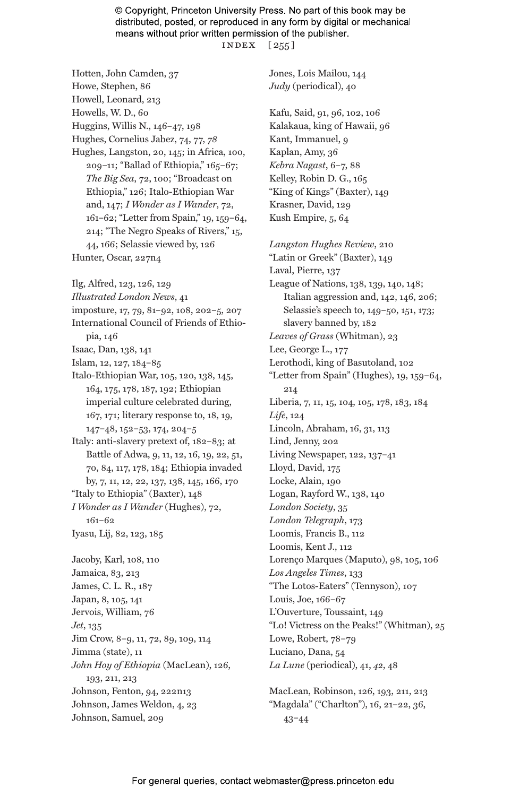© Copyright, Princeton University Press. No part of this book may be distributed, posted, or reproduced in any form by digital or mechanical means without prior written permission of the publisher. index [ 255 ]

Hotten, John Camden, 37 Howe, Stephen, 86 Howell, Leonard, 213 Howells, W. D., 60 Huggins, Willis N., 146–47, 198 Hughes, Cornelius Jabez, 74, 77, *78* Hughes, Langston, 20, 145; in Africa, 100, 209–11; "Ballad of Ethiopia," 165–67; *The Big Sea*, 72, 100; "Broadcast on Ethiopia," 126; Italo-Ethiopian War and, 147; *I Wonder as I Wander*, 72, 161–62; "Letter from Spain," 19, 159–64, 214; "The Negro Speaks of Rivers," 15, 44, 166; Selassie viewed by, 126 Hunter, Oscar, 227n4 Ilg, Alfred, 123, 126, 129 *Illustrated London News*, 41 imposture, 17, 79, 81–92, 108, 202–5, 207 International Council of Friends of Ethiopia, 146 Isaac, Dan, 138, 141 Islam, 12, 127, 184–85 Italo-Ethiopian War, 105, 120, 138, 145, 164, 175, 178, 187, 192; Ethiopian imperial culture celebrated during, 167, 171; literary response to, 18, 19, 147–48, 152–53, 174, 204–5 Italy: anti-slavery pretext of, 182–83; at Battle of Adwa, 9, 11, 12, 16, 19, 22, 51, 70, 84, 117, 178, 184; Ethiopia invaded by, 7, 11, 12, 22, 137, 138, 145, 166, 170 "Italy to Ethiopia" (Baxter), 148 *I Wonder as I Wander* (Hughes), 72, 161–62 Iyasu, Lij, 82, 123, 185 Jacoby, Karl, 108, 110 Jamaica, 83, 213 James, C. L. R., 187 Japan, 8, 105, 141 Jervois, William, 76 *Jet*, 135 Jim Crow, 8–9, 11, 72, 89, 109, 114 Jimma (state), 11 *John Hoy of Ethiopia* (MacLean), 126, 193, 211, 213 Johnson, Fenton, 94, 222n13 Johnson, James Weldon, 4, 23 Johnson, Samuel, 209

Jones, Lois Mailou, 144 *Judy* (periodical), 40 Kafu, Said, 91, 96, 102, 106 Kalakaua, king of Hawaii, 96 Kant, Immanuel, 9 Kaplan, Amy, 36 *Kebra Nagast*, 6–7, 88 Kelley, Robin D. G., 165 "King of Kings" (Baxter), 149 Krasner, David, 129 Kush Empire, 5, 64

*Langston Hughes Review*, 210 "Latin or Greek" (Baxter), 149 Laval, Pierre, 137 League of Nations, 138, 139, 140, 148; Italian aggression and, 142, 146, 206; Selassie's speech to, 149–50, 151, 173; slavery banned by, 182 *Leaves of Grass* (Whitman), 23 Lee, George L., 177 Lerothodi, king of Basutoland, 102 "Letter from Spain" (Hughes), 19, 159–64, 214 Liberia, 7, 11, 15, 104, 105, 178, 183, 184 *Life*, 124 Lincoln, Abraham, 16, 31, 113 Lind, Jenny, 202 Living Newspaper, 122, 137–41 Lloyd, David, 175 Locke, Alain, 190 Logan, Rayford W., 138, 140 *London Society*, 35 *London Telegraph*, 173 Loomis, Francis B., 112 Loomis, Kent J., 112 Lorenço Marques (Maputo), 98, 105, 106 *Los Angeles Times*, 133 "The Lotos-Eaters" (Tennyson), 107 Louis, Joe, 166–67 L'Ouverture, Toussaint, 149 "Lo! Victress on the Peaks!" (Whitman), 25 Lowe, Robert, 78–79 Luciano, Dana, 54 *La Lune* (periodical), 41, *42*, 48

MacLean, Robinson, 126, 193, 211, 213 "Magdala" ("Charlton"), 16, 21–22, 36, 43–44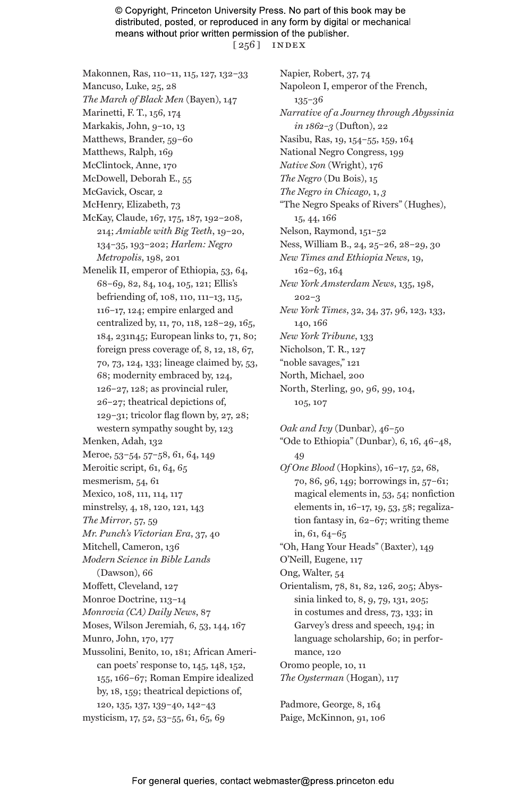© Copyright, Princeton University Press. No part of this book may be distributed, posted, or reproduced in any form by digital or mechanical means without prior written permission of the publisher. [ 256 ] index

- Makonnen, Ras, 110–11, 115, 127, 132–33 Mancuso, Luke, 25, 28
- *The March of Black Men* (Bayen), 147
- Marinetti, F. T., 156, 174
- Markakis, John, 9–10, 13
- Matthews, Brander, 59–60
- Matthews, Ralph, 169 McClintock, Anne, 170
- McDowell, Deborah E., 55
- McGavick, Oscar, 2
- McHenry, Elizabeth, 73
- McKay, Claude, 167, 175, 187, 192–208, 214; *Amiable with Big Teeth*, 19–20, 134–35, 193–202; *Harlem: Negro Metropolis*, 198, 201
- Menelik II, emperor of Ethiopia, 53, 64, 68–69, 82, 84, 104, 105, 121; Ellis's befriending of, 108, 110, 111–13, 115, 116–17, 124; empire enlarged and centralized by, 11, 70, 118, 128–29, 165, 184, 231n45; European links to, 71, 80; foreign press coverage of, 8, 12, 18, 67, 70, 73, 124, 133; lineage claimed by, 53, 68; modernity embraced by, 124, 126–27, 128; as provincial ruler, 26–27; theatrical depictions of, 129–31; tricolor flag flown by, 27, 28; western sympathy sought by, 123 Menken, Adah, 132
- Meroe, 53–54, 57–58, 61, 64, 149
- Meroitic script, 61, 64, 65
- mesmerism, 54, 61
- Mexico, 108, 111, 114, 117
- minstrelsy, 4, 18, 120, 121, 143
- *The Mirror*, 57, 59
- *Mr. Punch's Victorian Era*, 37, 40
- Mitchell, Cameron, 136
- *Modern Science in Bible Lands* (Dawson), 66
- Moffett, Cleveland, 127
- 
- Monroe Doctrine, 113–14
- *Monrovia (CA) Daily News*, 87
- Moses, Wilson Jeremiah, 6, 53, 144, 167
- Munro, John, 170, 177
- Mussolini, Benito, 10, 181; African American poets' response to, 145, 148, 152, 155, 166–67; Roman Empire idealized by, 18, 159; theatrical depictions of, 120, 135, 137, 139–40, 142–43
- mysticism, 17, 52, 53–55, 61, 65, 69

Napier, Robert, 37, 74 Napoleon I, emperor of the French, 135–36 *Narrative of a Journey through Abyssinia in 1862–3* (Dufton), 22 Nasibu, Ras, 19, 154–55, 159, 164 National Negro Congress, 199 *Native Son* (Wright), 176 *The Negro* (Du Bois), 15 *The Negro in Chicago*, 1, *3* "The Negro Speaks of Rivers" (Hughes), 15, 44, 166 Nelson, Raymond, 151–52 Ness, William B., 24, 25–26, 28–29, 30 *New Times and Ethiopia News*, 19, 162–63, 164 *New York Amsterdam News*, 135, 198, 202–3 *New York Times*, 32, 34, 37, 96, 123, 133, 140, 166 *New York Tribune*, 133 Nicholson, T. R., 127 "noble savages," 121 North, Michael, 200 North, Sterling, 90, 96, 99, 104,

105, 107

*Oak and Ivy* (Dunbar), 46–50 "Ode to Ethiopia" (Dunbar), 6, 16, 46–48, 49 *Of One Blood* (Hopkins), 16–17, 52, 68, 70, 86, 96, 149; borrowings in, 57–61; magical elements in, 53, 54; nonfiction elements in, 16–17, 19, 53, 58; regalization fantasy in, 62–67; writing theme in, 61, 64–65 "Oh, Hang Your Heads" (Baxter), 149 O'Neill, Eugene, 117 Ong, Walter, 54 Orientalism, 78, 81, 82, 126, 205; Abyssinia linked to, 8, 9, 79, 131, 205; in costumes and dress, 73, 133; in Garvey's dress and speech, 194; in language scholarship, 60; in performance, 120 Oromo people, 10, 11 *The Oysterman* (Hogan), 117

Padmore, George, 8, 164 Paige, McKinnon, 91, 106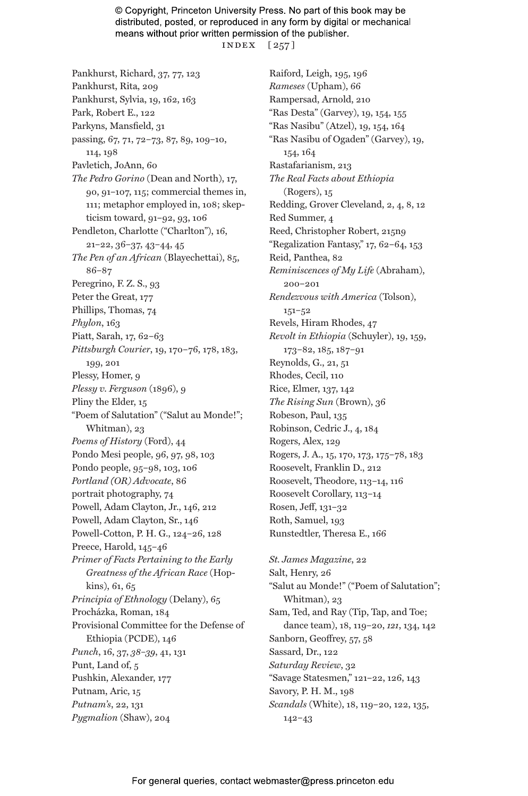© Copyright, Princeton University Press. No part of this book may be distributed, posted, or reproduced in any form by digital or mechanical means without prior written permission of the publisher. index [ 257 ]

Pankhurst, Richard, 37, 77, 123 Pankhurst, Rita, 209 Pankhurst, Sylvia, 19, 162, 163 Park, Robert E., 122 Parkyns, Mansfield, 31 passing, 67, 71, 72–73, 87, 89, 109–10, 114, 198 Pavletich, JoAnn, 60 *The Pedro Gorino* (Dean and North), 17, 90, 91–107, 115; commercial themes in, 111; metaphor employed in, 108; skepticism toward, 91–92, 93, 106 Pendleton, Charlotte ("Charlton"), 16, 21–22, 36–37, 43–44, 45 *The Pen of an African* (Blayechettai), 85, 86–87 Peregrino, F. Z. S., 93 Peter the Great, 177 Phillips, Thomas, 74 *Phylon*, 163 Piatt, Sarah, 17, 62–63 *Pittsburgh Courier*, 19, 170–76, 178, 183, 199, 201 Plessy, Homer, 9 *Plessy v. Ferguson* (1896), 9 Pliny the Elder, 15 "Poem of Salutation" ("Salut au Monde!"; Whitman), 23 *Poems of History* (Ford), 44 Pondo Mesi people, 96, 97, 98, 103 Pondo people, 95–98, 103, 106 *Portland (OR) Advocate*, 86 portrait photography, 74 Powell, Adam Clayton, Jr., 146, 212 Powell, Adam Clayton, Sr., 146 Powell-Cotton, P. H. G., 124–26, 128 Preece, Harold, 145–46 *Primer of Facts Pertaining to the Early Greatness of the African Race* (Hopkins), 61, 65 *Principia of Ethnology* (Delany), 65 Procházka, Roman, 184 Provisional Committee for the Defense of Ethiopia (PCDE), 146 *Punch*, 16, 37, *38–39*, 41, 131 Punt, Land of, 5 Pushkin, Alexander, 177 Putnam, Aric, 15 *Putnam's*, 22, 131 *Pygmalion* (Shaw), 204

Raiford, Leigh, 195, 196 *Rameses* (Upham), 66 Rampersad, Arnold, 210 "Ras Desta" (Garvey), 19, 154, 155 "Ras Nasibu" (Atzel), 19, 154, 164 "Ras Nasibu of Ogaden" (Garvey), 19, 154, 164 Rastafarianism, 213 *The Real Facts about Ethiopia* (Rogers), 15 Redding, Grover Cleveland, 2, 4, 8, 12 Red Summer, 4 Reed, Christopher Robert, 215n9 "Regalization Fantasy," 17, 62–64, 153 Reid, Panthea, 82 *Reminiscences of My Life* (Abraham), 200–201 *Rendezvous with America* (Tolson), 151–52 Revels, Hiram Rhodes, 47 *Revolt in Ethiopia* (Schuyler), 19, 159, 173–82, 185, 187–91 Reynolds, G., 21, 51 Rhodes, Cecil, 110 Rice, Elmer, 137, 142 *The Rising Sun* (Brown), 36 Robeson, Paul, 135 Robinson, Cedric J., 4, 184 Rogers, Alex, 129 Rogers, J. A., 15, 170, 173, 175–78, 183 Roosevelt, Franklin D., 212 Roosevelt, Theodore, 113–14, 116 Roosevelt Corollary, 113–14 Rosen, Jeff, 131–32 Roth, Samuel, 193 Runstedtler, Theresa E., 166

*St. James Magazine*, 22 Salt, Henry, 26 "Salut au Monde!" ("Poem of Salutation"; Whitman), 23 Sam, Ted, and Ray (Tip, Tap, and Toe; dance team), 18, 119–20, *121*, 134, 142 Sanborn, Geoffrey, 57, 58 Sassard, Dr., 122 *Saturday Review*, 32 "Savage Statesmen," 121–22, 126, 143 Savory, P. H. M., 198 *Scandals* (White), 18, 119–20, 122, 135, 142–43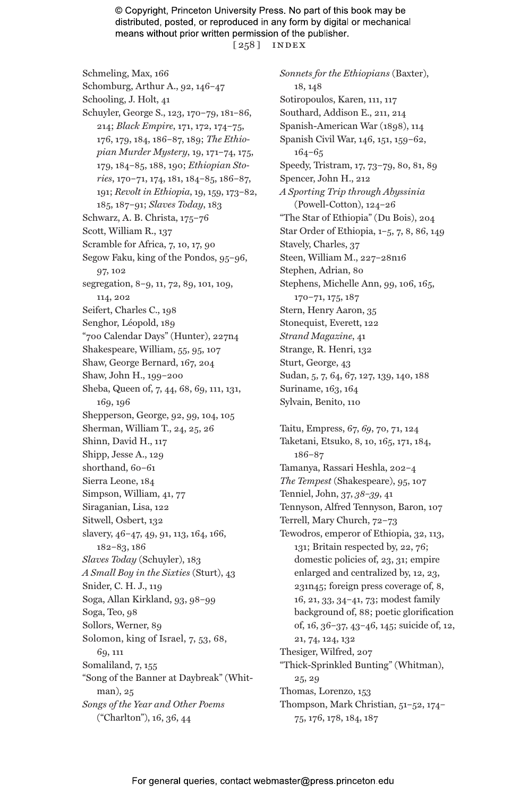© Copyright, Princeton University Press. No part of this book may be distributed, posted, or reproduced in any form by digital or mechanical means without prior written permission of the publisher. [ 258 ] index

Schmeling, Max, 166 Schomburg, Arthur A., 92, 146–47 Schooling, J. Holt, 41 Schuyler, George S., 123, 170–79, 181–86, 214; *Black Empire*, 171, 172, 174–75, 176, 179, 184, 186–87, 189; *The Ethiopian Murder Mystery*, 19, 171–74, 175, 179, 184–85, 188, 190; *Ethiopian Stories*, 170–71, 174, 181, 184–85, 186–87, 191; *Revolt in Ethiopia*, 19, 159, 173–82, 185, 187–91; *Slaves Today*, 183 Schwarz, A. B. Christa, 175–76 Scott, William R., 137 Scramble for Africa, 7, 10, 17, 90 Segow Faku, king of the Pondos, 95–96, 97, 102 segregation, 8–9, 11, 72, 89, 101, 109, 114, 202 Seifert, Charles C., 198 Senghor, Léopold, 189 "700 Calendar Days" (Hunter), 227n4 Shakespeare, William, 55, 95, 107 Shaw, George Bernard, 167, 204 Shaw, John H., 199–200 Sheba, Queen of, 7, 44, 68, 69, 111, 131, 169, 196 Shepperson, George, 92, 99, 104, 105 Sherman, William T., 24, 25, 26 Shinn, David H., 117 Shipp, Jesse A., 129 shorthand, 60–61 Sierra Leone, 184 Simpson, William, 41, 77 Siraganian, Lisa, 122 Sitwell, Osbert, 132 slavery, 46-47, 49, 91, 113, 164, 166, 182–83, 186 *Slaves Today* (Schuyler), 183 *A Small Boy in the Sixties* (Sturt), 43 Snider, C. H. J., 119 Soga, Allan Kirkland, 93, 98–99 Soga, Teo, 98 Sollors, Werner, 89 Solomon, king of Israel, 7, 53, 68, 69, 111 Somaliland, 7, 155 "Song of the Banner at Daybreak" (Whitman), 25 *Songs of the Year and Other Poems* ("Charlton"), 16, 36, 44

*Sonnets for the Ethiopians* (Baxter), 18, 148 Sotiropoulos, Karen, 111, 117 Southard, Addison E., 211, 214 Spanish-American War (1898), 114 Spanish Civil War, 146, 151, 159–62, 164–65 Speedy, Tristram, 17, 73–79, 80, 81, 89 Spencer, John H., 212 *A Sporting Trip through Abyssinia* (Powell-Cotton), 124–26 "The Star of Ethiopia" (Du Bois), 204 Star Order of Ethiopia, 1–5, 7, 8, 86, 149 Stavely, Charles, 37 Steen, William M., 227–28n16 Stephen, Adrian, 80 Stephens, Michelle Ann, 99, 106, 165, 170–71, 175, 187 Stern, Henry Aaron, 35 Stonequist, Everett, 122 *Strand Magazine*, 41 Strange, R. Henri, 132 Sturt, George, 43 Sudan, 5, 7, 64, 67, 127, 139, 140, 188 Suriname, 163, 164 Sylvain, Benito, 110

Taitu, Empress, 67, *69*, 70, 71, 124 Taketani, Etsuko, 8, 10, 165, 171, 184, 186–87 Tamanya, Rassari Heshla, 202–4 *The Tempest* (Shakespeare), 95, 107 Tenniel, John, 37, *38–39*, 41 Tennyson, Alfred Tennyson, Baron, 107 Terrell, Mary Church, 72–73 Tewodros, emperor of Ethiopia, 32, 113, 131; Britain respected by, 22, 76; domestic policies of, 23, 31; empire enlarged and centralized by, 12, 23, 231n45; foreign press coverage of, 8, 16, 21, 33, 34–41, 73; modest family background of, 88; poetic glorification of, 16, 36–37, 43–46, 145; suicide of, 12, 21, 74, 124, 132 Thesiger, Wilfred, 207 "Thick-Sprinkled Bunting" (Whitman), 25, 29 Thomas, Lorenzo, 153 Thompson, Mark Christian, 51–52, 174– 75, 176, 178, 184, 187